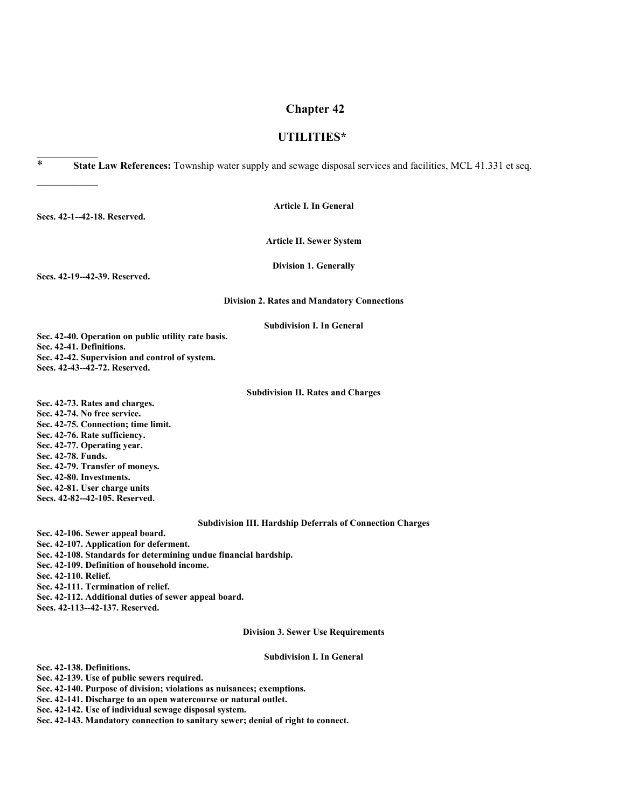#### **Chapter 42**

#### **UTILITIES\***

\* **State Law References:** Township water supply and sewage disposal services and facilities, MCL 41.331 et seq.

**Article I. In General**

**Article II. Sewer System**

**Division 1. Generally**

**Secs. 42-19--42-39. Reserved.**

**Secs. 42-1--42-18. Reserved.**

 $\frac{1}{2}$ 

 $\frac{1}{2}$ 

#### **Division 2. Rates and Mandatory Connections**

#### **Subdivision I. In General**

**Sec. 42-40. Operation on public utility rate basis. Sec. 42-41. Definitions. Sec. 42-42. Supervision and control of system. Secs. 42-43--42-72. Reserved.**

#### **Subdivision II. Rates and Charges**

**Sec. 42-73. Rates and charges. Sec. 42-74. No free service. Sec. 42-75. Connection; time limit. Sec. 42-76. Rate sufficiency. Sec. 42-77. Operating year. Sec. 42-78. Funds. Sec. 42-79. Transfer of moneys. Sec. 42-80. Investments. Sec. 42-81. User charge units Secs. 42-82--42-105. Reserved.**

#### **Subdivision III. Hardship Deferrals of Connection Charges**

**Sec. 42-106. Sewer appeal board. Sec. 42-107. Application for deferment. Sec. 42-108. Standards for determining undue financial hardship. Sec. 42-109. Definition of household income. Sec. 42-110. Relief. Sec. 42-111. Termination of relief. Sec. 42-112. Additional duties of sewer appeal board. Secs. 42-113--42-137. Reserved.**

**Division 3. Sewer Use Requirements**

#### **Subdivision I. In General**

**Sec. 42-138. Definitions.**

**Sec. 42-139. Use of public sewers required.**

**Sec. 42-140. Purpose of division; violations as nuisances; exemptions.**

**Sec. 42-141. Discharge to an open watercourse or natural outlet.**

**Sec. 42-142. Use of individual sewage disposal system.**

**Sec. 42-143. Mandatory connection to sanitary sewer; denial of right to connect.**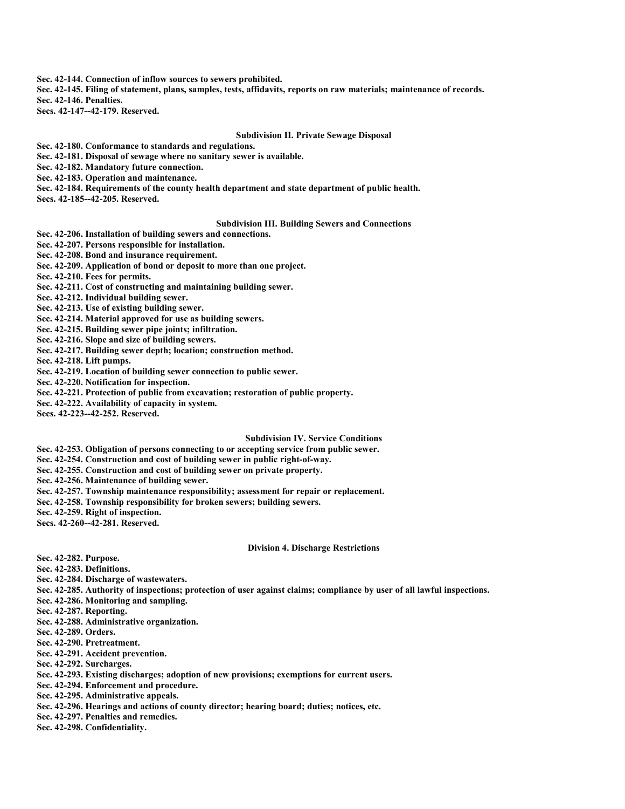**Sec. 42-144. Connection of inflow sources to sewers prohibited.**

**Sec. 42-145. Filing of statement, plans, samples, tests, affidavits, reports on raw materials; maintenance of records.**

**Sec. 42-146. Penalties.**

**Secs. 42-147--42-179. Reserved.**

#### **Subdivision II. Private Sewage Disposal**

**Sec. 42-180. Conformance to standards and regulations.**

**Sec. 42-181. Disposal of sewage where no sanitary sewer is available.**

**Sec. 42-182. Mandatory future connection.**

**Sec. 42-183. Operation and maintenance.**

**Sec. 42-184. Requirements of the county health department and state department of public health.**

**Secs. 42-185--42-205. Reserved.**

#### **Subdivision III. Building Sewers and Connections**

**Sec. 42-206. Installation of building sewers and connections.**

**Sec. 42-207. Persons responsible for installation.**

**Sec. 42-208. Bond and insurance requirement.**

**Sec. 42-209. Application of bond or deposit to more than one project.**

**Sec. 42-210. Fees for permits.**

**Sec. 42-211. Cost of constructing and maintaining building sewer.**

**Sec. 42-212. Individual building sewer.**

**Sec. 42-213. Use of existing building sewer.**

**Sec. 42-214. Material approved for use as building sewers.**

**Sec. 42-215. Building sewer pipe joints; infiltration.**

**Sec. 42-216. Slope and size of building sewers.**

**Sec. 42-217. Building sewer depth; location; construction method.**

**Sec. 42-218. Lift pumps.**

**Sec. 42-219. Location of building sewer connection to public sewer.**

**Sec. 42-220. Notification for inspection.**

**Sec. 42-221. Protection of public from excavation; restoration of public property.**

**Sec. 42-222. Availability of capacity in system.**

**Secs. 42-223--42-252. Reserved.**

#### **Subdivision IV. Service Conditions**

**Sec. 42-253. Obligation of persons connecting to or accepting service from public sewer.**

**Sec. 42-254. Construction and cost of building sewer in public right-of-way.**

**Sec. 42-255. Construction and cost of building sewer on private property.**

**Sec. 42-256. Maintenance of building sewer.**

**Sec. 42-257. Township maintenance responsibility; assessment for repair or replacement.**

**Sec. 42-258. Township responsibility for broken sewers; building sewers.**

**Sec. 42-259. Right of inspection.**

**Secs. 42-260--42-281. Reserved.**

#### **Division 4. Discharge Restrictions**

**Sec. 42-282. Purpose.**

**Sec. 42-283. Definitions.**

**Sec. 42-284. Discharge of wastewaters.**

**Sec. 42-285. Authority of inspections; protection of user against claims; compliance by user of all lawful inspections.**

**Sec. 42-286. Monitoring and sampling.**

**Sec. 42-287. Reporting.**

**Sec. 42-288. Administrative organization.**

**Sec. 42-289. Orders.**

**Sec. 42-290. Pretreatment.**

**Sec. 42-291. Accident prevention.**

**Sec. 42-292. Surcharges.**

**Sec. 42-293. Existing discharges; adoption of new provisions; exemptions for current users.**

**Sec. 42-294. Enforcement and procedure.**

**Sec. 42-295. Administrative appeals.**

**Sec. 42-296. Hearings and actions of county director; hearing board; duties; notices, etc.**

**Sec. 42-297. Penalties and remedies.**

**Sec. 42-298. Confidentiality.**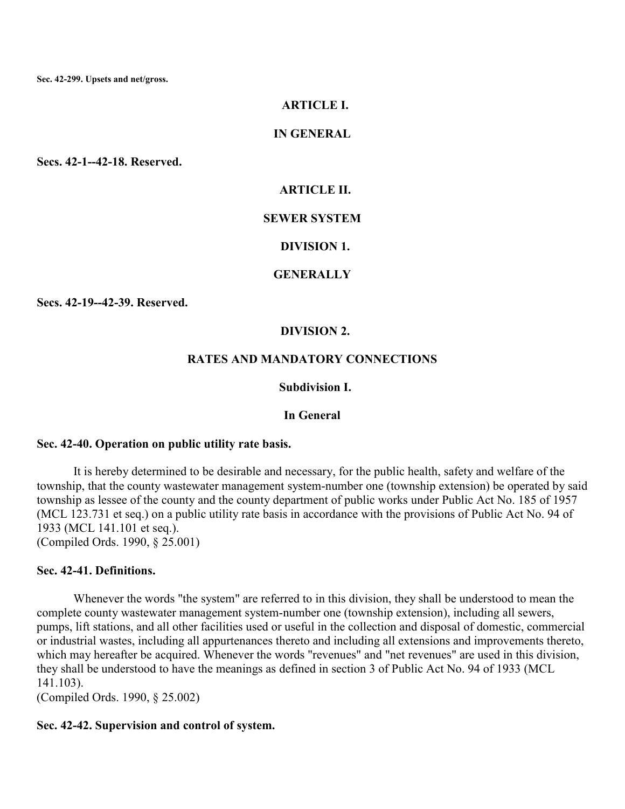**Sec. 42-299. Upsets and net/gross.**

#### **ARTICLE I.**

#### **IN GENERAL**

**Secs. 42-1--42-18. Reserved.**

#### **ARTICLE II.**

#### **SEWER SYSTEM**

#### **DIVISION 1.**

#### **GENERALLY**

**Secs. 42-19--42-39. Reserved.**

#### **DIVISION 2.**

#### **RATES AND MANDATORY CONNECTIONS**

## **Subdivision I.**

#### **In General**

#### **Sec. 42-40. Operation on public utility rate basis.**

It is hereby determined to be desirable and necessary, for the public health, safety and welfare of the township, that the county wastewater management system-number one (township extension) be operated by said township as lessee of the county and the county department of public works under Public Act No. 185 of 1957 (MCL 123.731 et seq.) on a public utility rate basis in accordance with the provisions of Public Act No. 94 of 1933 (MCL 141.101 et seq.).

(Compiled Ords. 1990, § 25.001)

## **Sec. 42-41. Definitions.**

Whenever the words "the system" are referred to in this division, they shall be understood to mean the complete county wastewater management system-number one (township extension), including all sewers, pumps, lift stations, and all other facilities used or useful in the collection and disposal of domestic, commercial or industrial wastes, including all appurtenances thereto and including all extensions and improvements thereto, which may hereafter be acquired. Whenever the words "revenues" and "net revenues" are used in this division, they shall be understood to have the meanings as defined in section 3 of Public Act No. 94 of 1933 (MCL 141.103).

(Compiled Ords. 1990, § 25.002)

#### **Sec. 42-42. Supervision and control of system.**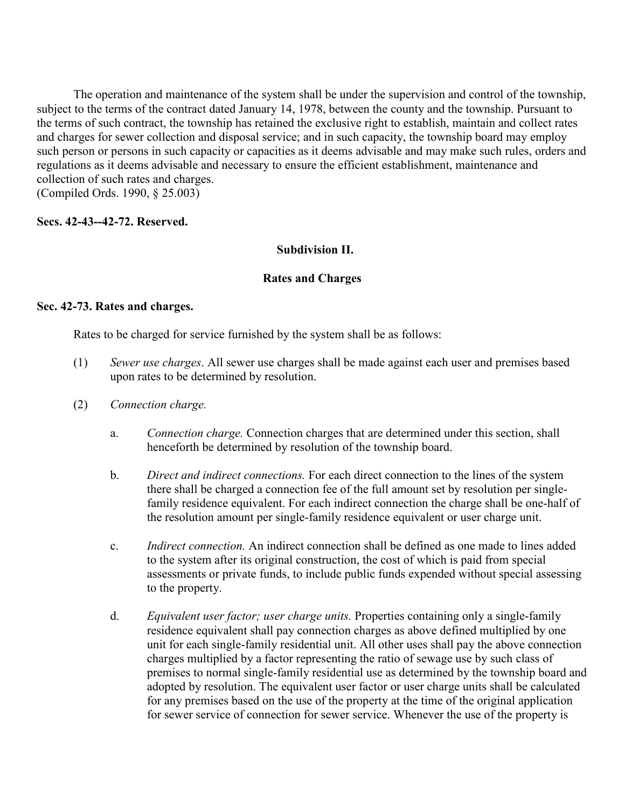The operation and maintenance of the system shall be under the supervision and control of the township, subject to the terms of the contract dated January 14, 1978, between the county and the township. Pursuant to the terms of such contract, the township has retained the exclusive right to establish, maintain and collect rates and charges for sewer collection and disposal service; and in such capacity, the township board may employ such person or persons in such capacity or capacities as it deems advisable and may make such rules, orders and regulations as it deems advisable and necessary to ensure the efficient establishment, maintenance and collection of such rates and charges. (Compiled Ords. 1990, § 25.003)

**Secs. 42-43--42-72. Reserved.**

## **Subdivision II.**

## **Rates and Charges**

## **Sec. 42-73. Rates and charges.**

Rates to be charged for service furnished by the system shall be as follows:

- (1) *Sewer use charges*. All sewer use charges shall be made against each user and premises based upon rates to be determined by resolution.
- (2) *Connection charge.*
	- a. *Connection charge.* Connection charges that are determined under this section, shall henceforth be determined by resolution of the township board.
	- b. *Direct and indirect connections.* For each direct connection to the lines of the system there shall be charged a connection fee of the full amount set by resolution per singlefamily residence equivalent. For each indirect connection the charge shall be one-half of the resolution amount per single-family residence equivalent or user charge unit.
	- c. *Indirect connection.* An indirect connection shall be defined as one made to lines added to the system after its original construction, the cost of which is paid from special assessments or private funds, to include public funds expended without special assessing to the property.
	- d. *Equivalent user factor; user charge units.* Properties containing only a single-family residence equivalent shall pay connection charges as above defined multiplied by one unit for each single-family residential unit. All other uses shall pay the above connection charges multiplied by a factor representing the ratio of sewage use by such class of premises to normal single-family residential use as determined by the township board and adopted by resolution. The equivalent user factor or user charge units shall be calculated for any premises based on the use of the property at the time of the original application for sewer service of connection for sewer service. Whenever the use of the property is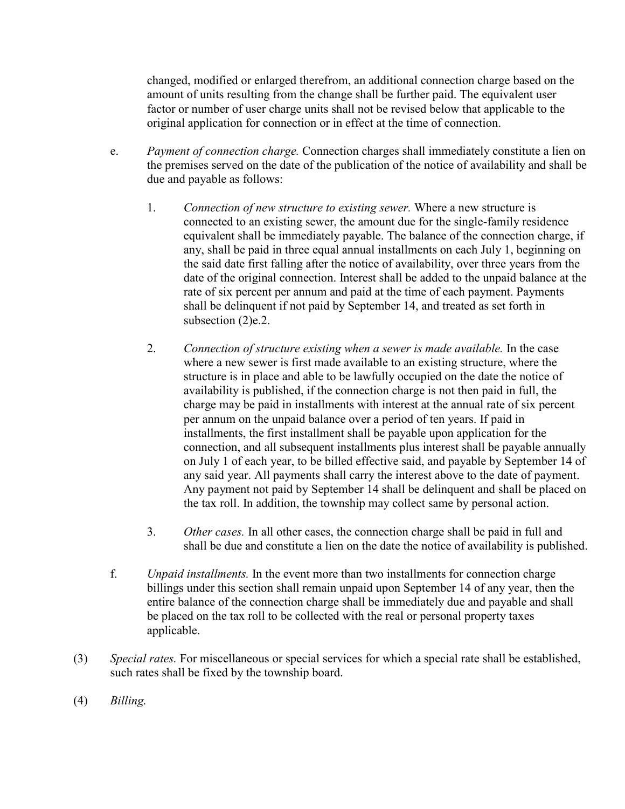changed, modified or enlarged therefrom, an additional connection charge based on the amount of units resulting from the change shall be further paid. The equivalent user factor or number of user charge units shall not be revised below that applicable to the original application for connection or in effect at the time of connection.

- e. *Payment of connection charge.* Connection charges shall immediately constitute a lien on the premises served on the date of the publication of the notice of availability and shall be due and payable as follows:
	- 1. *Connection of new structure to existing sewer.* Where a new structure is connected to an existing sewer, the amount due for the single-family residence equivalent shall be immediately payable. The balance of the connection charge, if any, shall be paid in three equal annual installments on each July 1, beginning on the said date first falling after the notice of availability, over three years from the date of the original connection. Interest shall be added to the unpaid balance at the rate of six percent per annum and paid at the time of each payment. Payments shall be delinquent if not paid by September 14, and treated as set forth in subsection (2)e.2.
	- 2. *Connection of structure existing when a sewer is made available.* In the case where a new sewer is first made available to an existing structure, where the structure is in place and able to be lawfully occupied on the date the notice of availability is published, if the connection charge is not then paid in full, the charge may be paid in installments with interest at the annual rate of six percent per annum on the unpaid balance over a period of ten years. If paid in installments, the first installment shall be payable upon application for the connection, and all subsequent installments plus interest shall be payable annually on July 1 of each year, to be billed effective said, and payable by September 14 of any said year. All payments shall carry the interest above to the date of payment. Any payment not paid by September 14 shall be delinquent and shall be placed on the tax roll. In addition, the township may collect same by personal action.
	- 3. *Other cases.* In all other cases, the connection charge shall be paid in full and shall be due and constitute a lien on the date the notice of availability is published.
- f. *Unpaid installments.* In the event more than two installments for connection charge billings under this section shall remain unpaid upon September 14 of any year, then the entire balance of the connection charge shall be immediately due and payable and shall be placed on the tax roll to be collected with the real or personal property taxes applicable.
- (3) *Special rates.* For miscellaneous or special services for which a special rate shall be established, such rates shall be fixed by the township board.
- (4) *Billing.*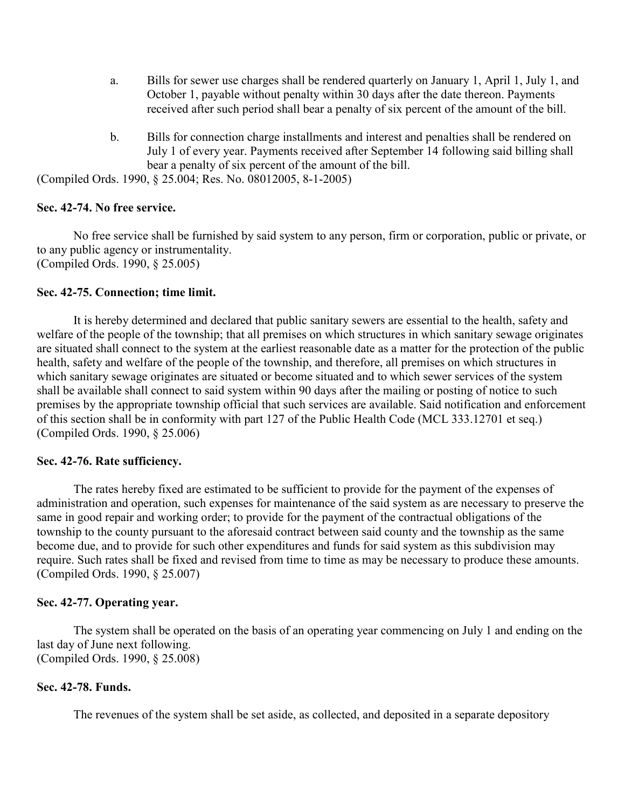- a. Bills for sewer use charges shall be rendered quarterly on January 1, April 1, July 1, and October 1, payable without penalty within 30 days after the date thereon. Payments received after such period shall bear a penalty of six percent of the amount of the bill.
- b. Bills for connection charge installments and interest and penalties shall be rendered on July 1 of every year. Payments received after September 14 following said billing shall bear a penalty of six percent of the amount of the bill.

(Compiled Ords. 1990, § 25.004; Res. No. 08012005, 8-1-2005)

#### **Sec. 42-74. No free service.**

No free service shall be furnished by said system to any person, firm or corporation, public or private, or to any public agency or instrumentality. (Compiled Ords. 1990, § 25.005)

## **Sec. 42-75. Connection; time limit.**

It is hereby determined and declared that public sanitary sewers are essential to the health, safety and welfare of the people of the township; that all premises on which structures in which sanitary sewage originates are situated shall connect to the system at the earliest reasonable date as a matter for the protection of the public health, safety and welfare of the people of the township, and therefore, all premises on which structures in which sanitary sewage originates are situated or become situated and to which sewer services of the system shall be available shall connect to said system within 90 days after the mailing or posting of notice to such premises by the appropriate township official that such services are available. Said notification and enforcement of this section shall be in conformity with part 127 of the Public Health Code (MCL 333.12701 et seq.) (Compiled Ords. 1990, § 25.006)

#### **Sec. 42-76. Rate sufficiency.**

The rates hereby fixed are estimated to be sufficient to provide for the payment of the expenses of administration and operation, such expenses for maintenance of the said system as are necessary to preserve the same in good repair and working order; to provide for the payment of the contractual obligations of the township to the county pursuant to the aforesaid contract between said county and the township as the same become due, and to provide for such other expenditures and funds for said system as this subdivision may require. Such rates shall be fixed and revised from time to time as may be necessary to produce these amounts. (Compiled Ords. 1990, § 25.007)

#### **Sec. 42-77. Operating year.**

The system shall be operated on the basis of an operating year commencing on July 1 and ending on the last day of June next following. (Compiled Ords. 1990, § 25.008)

## **Sec. 42-78. Funds.**

The revenues of the system shall be set aside, as collected, and deposited in a separate depository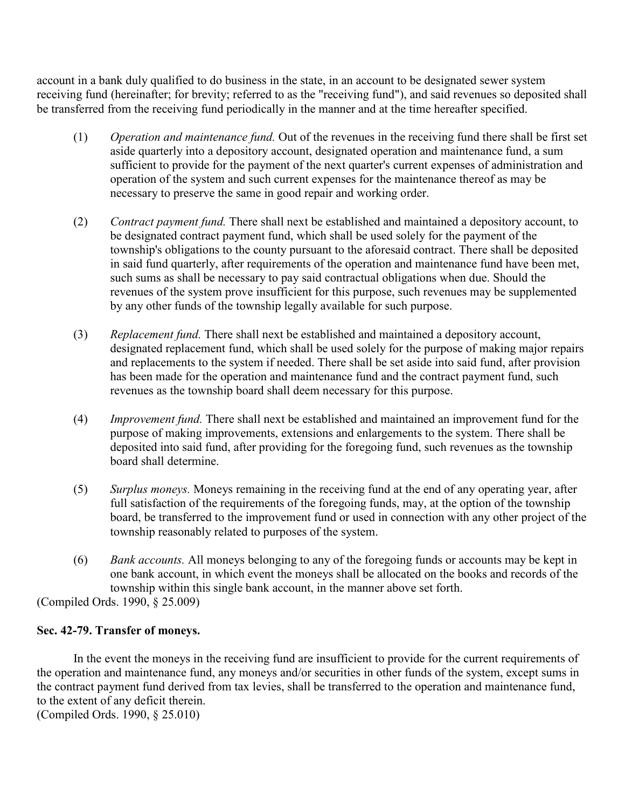account in a bank duly qualified to do business in the state, in an account to be designated sewer system receiving fund (hereinafter; for brevity; referred to as the "receiving fund"), and said revenues so deposited shall be transferred from the receiving fund periodically in the manner and at the time hereafter specified.

- (1) *Operation and maintenance fund.* Out of the revenues in the receiving fund there shall be first set aside quarterly into a depository account, designated operation and maintenance fund, a sum sufficient to provide for the payment of the next quarter's current expenses of administration and operation of the system and such current expenses for the maintenance thereof as may be necessary to preserve the same in good repair and working order.
- (2) *Contract payment fund.* There shall next be established and maintained a depository account, to be designated contract payment fund, which shall be used solely for the payment of the township's obligations to the county pursuant to the aforesaid contract. There shall be deposited in said fund quarterly, after requirements of the operation and maintenance fund have been met, such sums as shall be necessary to pay said contractual obligations when due. Should the revenues of the system prove insufficient for this purpose, such revenues may be supplemented by any other funds of the township legally available for such purpose.
- (3) *Replacement fund.* There shall next be established and maintained a depository account, designated replacement fund, which shall be used solely for the purpose of making major repairs and replacements to the system if needed. There shall be set aside into said fund, after provision has been made for the operation and maintenance fund and the contract payment fund, such revenues as the township board shall deem necessary for this purpose.
- (4) *Improvement fund.* There shall next be established and maintained an improvement fund for the purpose of making improvements, extensions and enlargements to the system. There shall be deposited into said fund, after providing for the foregoing fund, such revenues as the township board shall determine.
- (5) *Surplus moneys.* Moneys remaining in the receiving fund at the end of any operating year, after full satisfaction of the requirements of the foregoing funds, may, at the option of the township board, be transferred to the improvement fund or used in connection with any other project of the township reasonably related to purposes of the system.
- (6) *Bank accounts.* All moneys belonging to any of the foregoing funds or accounts may be kept in one bank account, in which event the moneys shall be allocated on the books and records of the township within this single bank account, in the manner above set forth.

(Compiled Ords. 1990, § 25.009)

# **Sec. 42-79. Transfer of moneys.**

In the event the moneys in the receiving fund are insufficient to provide for the current requirements of the operation and maintenance fund, any moneys and/or securities in other funds of the system, except sums in the contract payment fund derived from tax levies, shall be transferred to the operation and maintenance fund, to the extent of any deficit therein.

(Compiled Ords. 1990, § 25.010)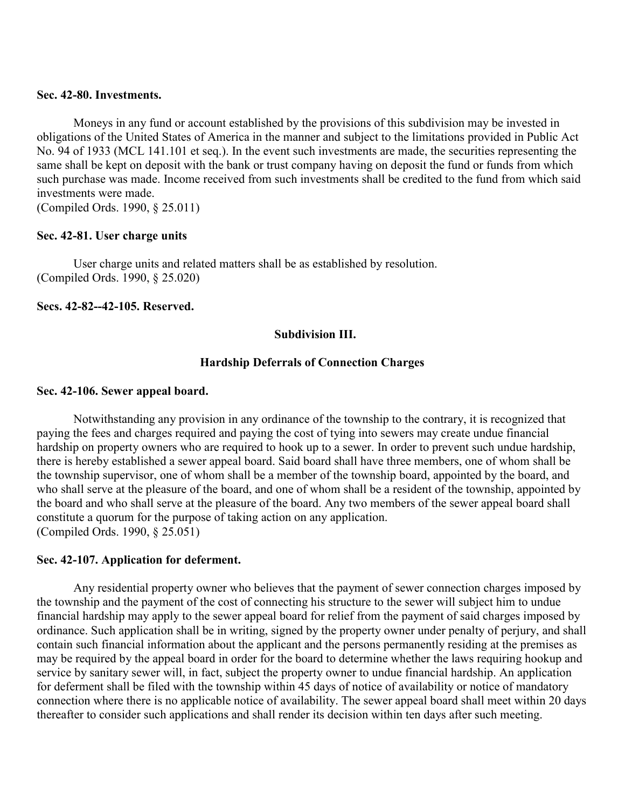#### **Sec. 42-80. Investments.**

Moneys in any fund or account established by the provisions of this subdivision may be invested in obligations of the United States of America in the manner and subject to the limitations provided in Public Act No. 94 of 1933 (MCL 141.101 et seq.). In the event such investments are made, the securities representing the same shall be kept on deposit with the bank or trust company having on deposit the fund or funds from which such purchase was made. Income received from such investments shall be credited to the fund from which said investments were made.

(Compiled Ords. 1990, § 25.011)

## **Sec. 42-81. User charge units**

User charge units and related matters shall be as established by resolution. (Compiled Ords. 1990, § 25.020)

**Secs. 42-82--42-105. Reserved.**

#### **Subdivision III.**

#### **Hardship Deferrals of Connection Charges**

#### **Sec. 42-106. Sewer appeal board.**

Notwithstanding any provision in any ordinance of the township to the contrary, it is recognized that paying the fees and charges required and paying the cost of tying into sewers may create undue financial hardship on property owners who are required to hook up to a sewer. In order to prevent such undue hardship, there is hereby established a sewer appeal board. Said board shall have three members, one of whom shall be the township supervisor, one of whom shall be a member of the township board, appointed by the board, and who shall serve at the pleasure of the board, and one of whom shall be a resident of the township, appointed by the board and who shall serve at the pleasure of the board. Any two members of the sewer appeal board shall constitute a quorum for the purpose of taking action on any application. (Compiled Ords. 1990, § 25.051)

#### **Sec. 42-107. Application for deferment.**

Any residential property owner who believes that the payment of sewer connection charges imposed by the township and the payment of the cost of connecting his structure to the sewer will subject him to undue financial hardship may apply to the sewer appeal board for relief from the payment of said charges imposed by ordinance. Such application shall be in writing, signed by the property owner under penalty of perjury, and shall contain such financial information about the applicant and the persons permanently residing at the premises as may be required by the appeal board in order for the board to determine whether the laws requiring hookup and service by sanitary sewer will, in fact, subject the property owner to undue financial hardship. An application for deferment shall be filed with the township within 45 days of notice of availability or notice of mandatory connection where there is no applicable notice of availability. The sewer appeal board shall meet within 20 days thereafter to consider such applications and shall render its decision within ten days after such meeting.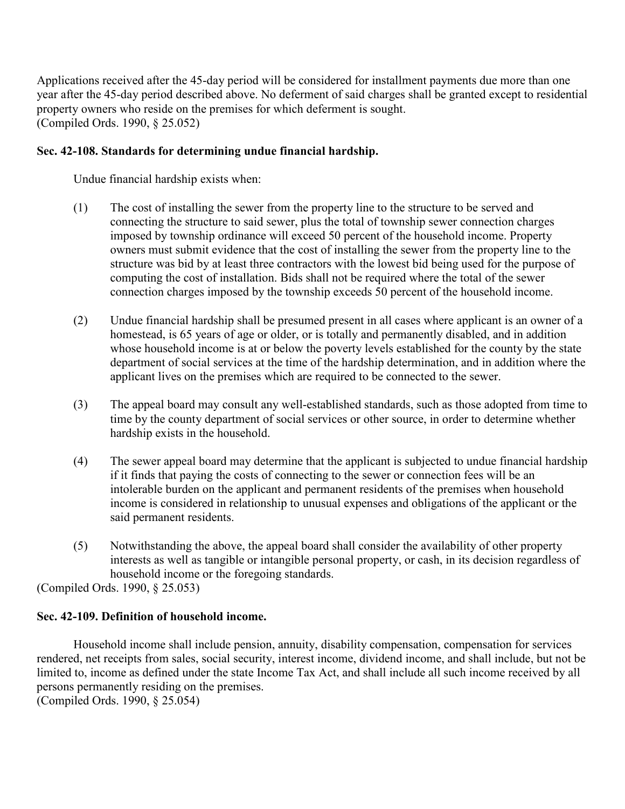Applications received after the 45-day period will be considered for installment payments due more than one year after the 45-day period described above. No deferment of said charges shall be granted except to residential property owners who reside on the premises for which deferment is sought. (Compiled Ords. 1990, § 25.052)

# **Sec. 42-108. Standards for determining undue financial hardship.**

Undue financial hardship exists when:

- (1) The cost of installing the sewer from the property line to the structure to be served and connecting the structure to said sewer, plus the total of township sewer connection charges imposed by township ordinance will exceed 50 percent of the household income. Property owners must submit evidence that the cost of installing the sewer from the property line to the structure was bid by at least three contractors with the lowest bid being used for the purpose of computing the cost of installation. Bids shall not be required where the total of the sewer connection charges imposed by the township exceeds 50 percent of the household income.
- (2) Undue financial hardship shall be presumed present in all cases where applicant is an owner of a homestead, is 65 years of age or older, or is totally and permanently disabled, and in addition whose household income is at or below the poverty levels established for the county by the state department of social services at the time of the hardship determination, and in addition where the applicant lives on the premises which are required to be connected to the sewer.
- (3) The appeal board may consult any well-established standards, such as those adopted from time to time by the county department of social services or other source, in order to determine whether hardship exists in the household.
- (4) The sewer appeal board may determine that the applicant is subjected to undue financial hardship if it finds that paying the costs of connecting to the sewer or connection fees will be an intolerable burden on the applicant and permanent residents of the premises when household income is considered in relationship to unusual expenses and obligations of the applicant or the said permanent residents.
- (5) Notwithstanding the above, the appeal board shall consider the availability of other property interests as well as tangible or intangible personal property, or cash, in its decision regardless of household income or the foregoing standards.

(Compiled Ords. 1990, § 25.053)

# **Sec. 42-109. Definition of household income.**

Household income shall include pension, annuity, disability compensation, compensation for services rendered, net receipts from sales, social security, interest income, dividend income, and shall include, but not be limited to, income as defined under the state Income Tax Act, and shall include all such income received by all persons permanently residing on the premises. (Compiled Ords. 1990, § 25.054)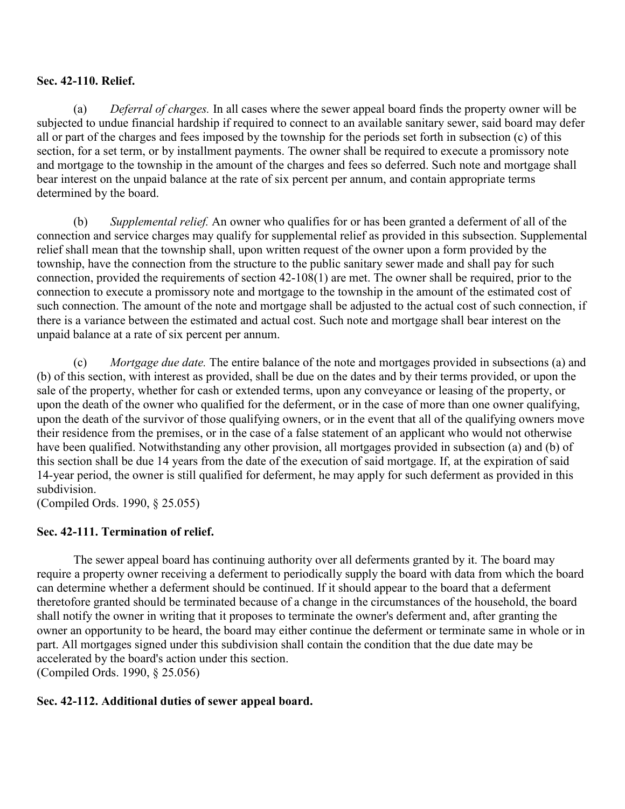# **Sec. 42-110. Relief.**

 (a) *Deferral of charges.* In all cases where the sewer appeal board finds the property owner will be subjected to undue financial hardship if required to connect to an available sanitary sewer, said board may defer all or part of the charges and fees imposed by the township for the periods set forth in subsection (c) of this section, for a set term, or by installment payments. The owner shall be required to execute a promissory note and mortgage to the township in the amount of the charges and fees so deferred. Such note and mortgage shall bear interest on the unpaid balance at the rate of six percent per annum, and contain appropriate terms determined by the board.

 (b) *Supplemental relief.* An owner who qualifies for or has been granted a deferment of all of the connection and service charges may qualify for supplemental relief as provided in this subsection. Supplemental relief shall mean that the township shall, upon written request of the owner upon a form provided by the township, have the connection from the structure to the public sanitary sewer made and shall pay for such connection, provided the requirements of section 42-108(1) are met. The owner shall be required, prior to the connection to execute a promissory note and mortgage to the township in the amount of the estimated cost of such connection. The amount of the note and mortgage shall be adjusted to the actual cost of such connection, if there is a variance between the estimated and actual cost. Such note and mortgage shall bear interest on the unpaid balance at a rate of six percent per annum.

 (c) *Mortgage due date.* The entire balance of the note and mortgages provided in subsections (a) and (b) of this section, with interest as provided, shall be due on the dates and by their terms provided, or upon the sale of the property, whether for cash or extended terms, upon any conveyance or leasing of the property, or upon the death of the owner who qualified for the deferment, or in the case of more than one owner qualifying, upon the death of the survivor of those qualifying owners, or in the event that all of the qualifying owners move their residence from the premises, or in the case of a false statement of an applicant who would not otherwise have been qualified. Notwithstanding any other provision, all mortgages provided in subsection (a) and (b) of this section shall be due 14 years from the date of the execution of said mortgage. If, at the expiration of said 14-year period, the owner is still qualified for deferment, he may apply for such deferment as provided in this subdivision.

(Compiled Ords. 1990, § 25.055)

# **Sec. 42-111. Termination of relief.**

The sewer appeal board has continuing authority over all deferments granted by it. The board may require a property owner receiving a deferment to periodically supply the board with data from which the board can determine whether a deferment should be continued. If it should appear to the board that a deferment theretofore granted should be terminated because of a change in the circumstances of the household, the board shall notify the owner in writing that it proposes to terminate the owner's deferment and, after granting the owner an opportunity to be heard, the board may either continue the deferment or terminate same in whole or in part. All mortgages signed under this subdivision shall contain the condition that the due date may be accelerated by the board's action under this section. (Compiled Ords. 1990, § 25.056)

# **Sec. 42-112. Additional duties of sewer appeal board.**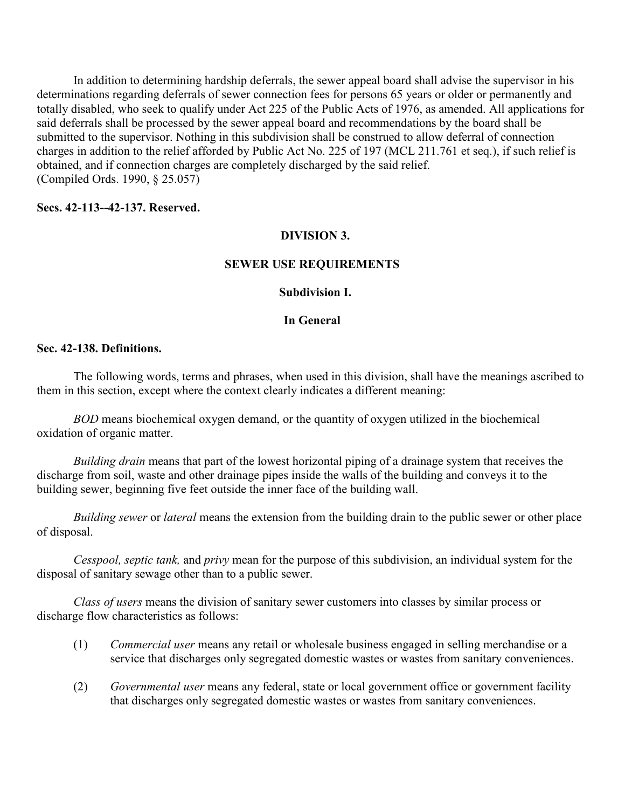In addition to determining hardship deferrals, the sewer appeal board shall advise the supervisor in his determinations regarding deferrals of sewer connection fees for persons 65 years or older or permanently and totally disabled, who seek to qualify under Act 225 of the Public Acts of 1976, as amended. All applications for said deferrals shall be processed by the sewer appeal board and recommendations by the board shall be submitted to the supervisor. Nothing in this subdivision shall be construed to allow deferral of connection charges in addition to the relief afforded by Public Act No. 225 of 197 (MCL 211.761 et seq.), if such relief is obtained, and if connection charges are completely discharged by the said relief. (Compiled Ords. 1990, § 25.057)

## **Secs. 42-113--42-137. Reserved.**

## **DIVISION 3.**

## **SEWER USE REQUIREMENTS**

## **Subdivision I.**

# **In General**

## **Sec. 42-138. Definitions.**

The following words, terms and phrases, when used in this division, shall have the meanings ascribed to them in this section, except where the context clearly indicates a different meaning:

*BOD* means biochemical oxygen demand, or the quantity of oxygen utilized in the biochemical oxidation of organic matter.

*Building drain* means that part of the lowest horizontal piping of a drainage system that receives the discharge from soil, waste and other drainage pipes inside the walls of the building and conveys it to the building sewer, beginning five feet outside the inner face of the building wall.

*Building sewer* or *lateral* means the extension from the building drain to the public sewer or other place of disposal.

*Cesspool, septic tank,* and *privy* mean for the purpose of this subdivision, an individual system for the disposal of sanitary sewage other than to a public sewer.

*Class of users* means the division of sanitary sewer customers into classes by similar process or discharge flow characteristics as follows:

- (1) *Commercial user* means any retail or wholesale business engaged in selling merchandise or a service that discharges only segregated domestic wastes or wastes from sanitary conveniences.
- (2) *Governmental user* means any federal, state or local government office or government facility that discharges only segregated domestic wastes or wastes from sanitary conveniences.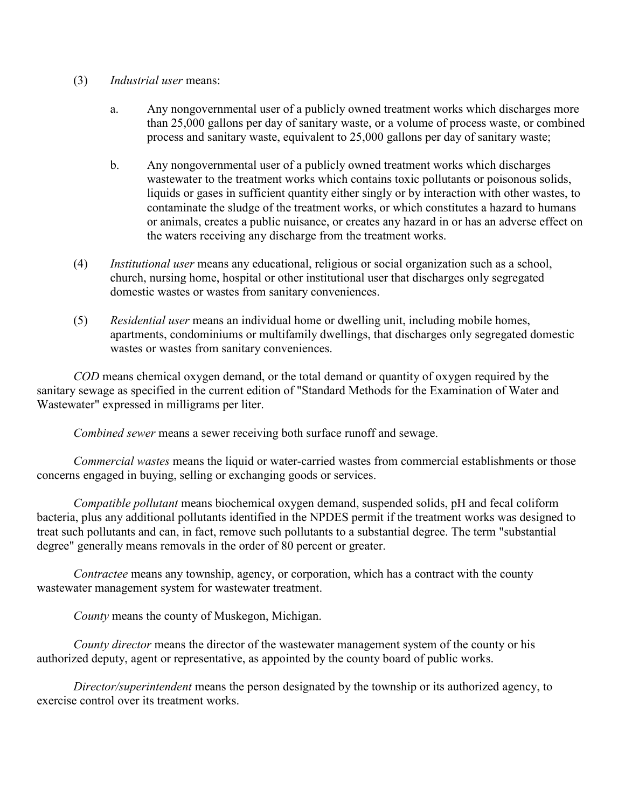- (3) *Industrial user* means:
	- a. Any nongovernmental user of a publicly owned treatment works which discharges more than 25,000 gallons per day of sanitary waste, or a volume of process waste, or combined process and sanitary waste, equivalent to 25,000 gallons per day of sanitary waste;
	- b. Any nongovernmental user of a publicly owned treatment works which discharges wastewater to the treatment works which contains toxic pollutants or poisonous solids, liquids or gases in sufficient quantity either singly or by interaction with other wastes, to contaminate the sludge of the treatment works, or which constitutes a hazard to humans or animals, creates a public nuisance, or creates any hazard in or has an adverse effect on the waters receiving any discharge from the treatment works.
- (4) *Institutional user* means any educational, religious or social organization such as a school, church, nursing home, hospital or other institutional user that discharges only segregated domestic wastes or wastes from sanitary conveniences.
- (5) *Residential user* means an individual home or dwelling unit, including mobile homes, apartments, condominiums or multifamily dwellings, that discharges only segregated domestic wastes or wastes from sanitary conveniences.

*COD* means chemical oxygen demand, or the total demand or quantity of oxygen required by the sanitary sewage as specified in the current edition of "Standard Methods for the Examination of Water and Wastewater" expressed in milligrams per liter.

*Combined sewer* means a sewer receiving both surface runoff and sewage.

*Commercial wastes* means the liquid or water-carried wastes from commercial establishments or those concerns engaged in buying, selling or exchanging goods or services.

*Compatible pollutant* means biochemical oxygen demand, suspended solids, pH and fecal coliform bacteria, plus any additional pollutants identified in the NPDES permit if the treatment works was designed to treat such pollutants and can, in fact, remove such pollutants to a substantial degree. The term "substantial degree" generally means removals in the order of 80 percent or greater.

*Contractee* means any township, agency, or corporation, which has a contract with the county wastewater management system for wastewater treatment.

*County* means the county of Muskegon, Michigan.

*County director* means the director of the wastewater management system of the county or his authorized deputy, agent or representative, as appointed by the county board of public works.

*Director/superintendent* means the person designated by the township or its authorized agency, to exercise control over its treatment works.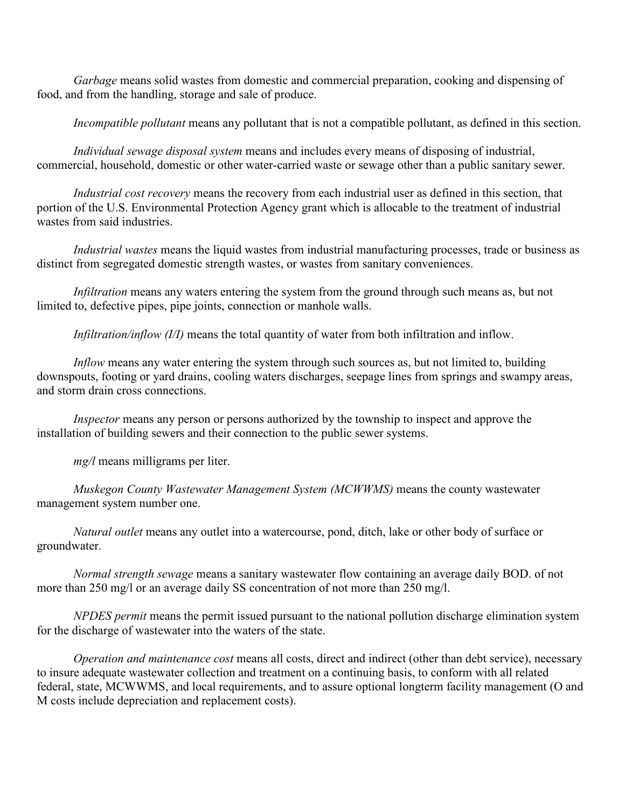*Garbage* means solid wastes from domestic and commercial preparation, cooking and dispensing of food, and from the handling, storage and sale of produce.

*Incompatible pollutant* means any pollutant that is not a compatible pollutant, as defined in this section.

*Individual sewage disposal system* means and includes every means of disposing of industrial, commercial, household, domestic or other water-carried waste or sewage other than a public sanitary sewer.

*Industrial cost recovery* means the recovery from each industrial user as defined in this section, that portion of the U.S. Environmental Protection Agency grant which is allocable to the treatment of industrial wastes from said industries.

*Industrial wastes* means the liquid wastes from industrial manufacturing processes, trade or business as distinct from segregated domestic strength wastes, or wastes from sanitary conveniences.

*Infiltration* means any waters entering the system from the ground through such means as, but not limited to, defective pipes, pipe joints, connection or manhole walls.

*Infiltration/inflow (I/I)* means the total quantity of water from both infiltration and inflow.

*Inflow* means any water entering the system through such sources as, but not limited to, building downspouts, footing or yard drains, cooling waters discharges, seepage lines from springs and swampy areas, and storm drain cross connections.

*Inspector* means any person or persons authorized by the township to inspect and approve the installation of building sewers and their connection to the public sewer systems.

*mg/l* means milligrams per liter.

*Muskegon County Wastewater Management System (MCWWMS)* means the county wastewater management system number one.

*Natural outlet* means any outlet into a watercourse, pond, ditch, lake or other body of surface or groundwater.

*Normal strength sewage* means a sanitary wastewater flow containing an average daily BOD. of not more than 250 mg/l or an average daily SS concentration of not more than 250 mg/l.

*NPDES permit* means the permit issued pursuant to the national pollution discharge elimination system for the discharge of wastewater into the waters of the state.

*Operation and maintenance cost* means all costs, direct and indirect (other than debt service), necessary to insure adequate wastewater collection and treatment on a continuing basis, to conform with all related federal, state, MCWWMS, and local requirements, and to assure optional longterm facility management (O and M costs include depreciation and replacement costs).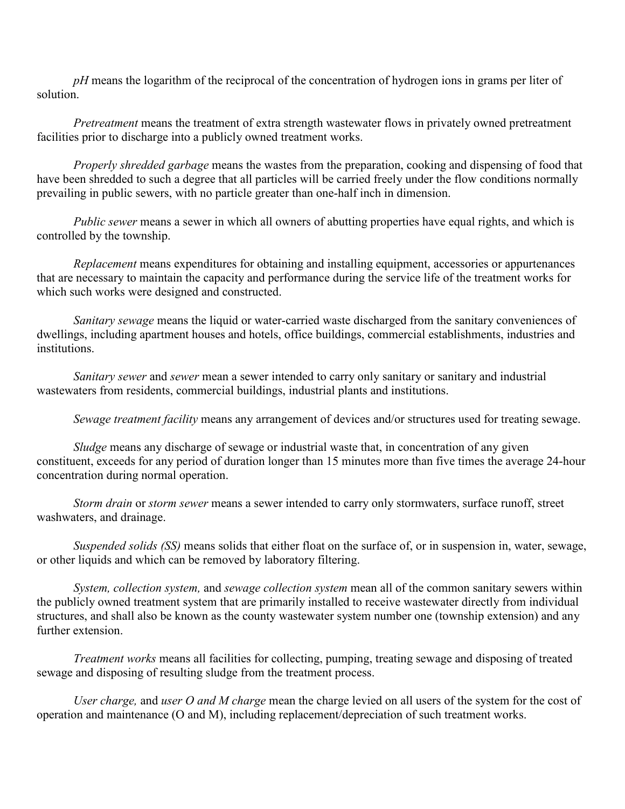*pH* means the logarithm of the reciprocal of the concentration of hydrogen ions in grams per liter of solution.

*Pretreatment* means the treatment of extra strength wastewater flows in privately owned pretreatment facilities prior to discharge into a publicly owned treatment works.

*Properly shredded garbage* means the wastes from the preparation, cooking and dispensing of food that have been shredded to such a degree that all particles will be carried freely under the flow conditions normally prevailing in public sewers, with no particle greater than one-half inch in dimension.

*Public sewer* means a sewer in which all owners of abutting properties have equal rights, and which is controlled by the township.

*Replacement* means expenditures for obtaining and installing equipment, accessories or appurtenances that are necessary to maintain the capacity and performance during the service life of the treatment works for which such works were designed and constructed.

*Sanitary sewage* means the liquid or water-carried waste discharged from the sanitary conveniences of dwellings, including apartment houses and hotels, office buildings, commercial establishments, industries and institutions.

*Sanitary sewer* and *sewer* mean a sewer intended to carry only sanitary or sanitary and industrial wastewaters from residents, commercial buildings, industrial plants and institutions.

*Sewage treatment facility* means any arrangement of devices and/or structures used for treating sewage.

*Sludge* means any discharge of sewage or industrial waste that, in concentration of any given constituent, exceeds for any period of duration longer than 15 minutes more than five times the average 24-hour concentration during normal operation.

*Storm drain* or *storm sewer* means a sewer intended to carry only stormwaters, surface runoff, street washwaters, and drainage.

*Suspended solids (SS)* means solids that either float on the surface of, or in suspension in, water, sewage, or other liquids and which can be removed by laboratory filtering.

*System, collection system,* and *sewage collection system* mean all of the common sanitary sewers within the publicly owned treatment system that are primarily installed to receive wastewater directly from individual structures, and shall also be known as the county wastewater system number one (township extension) and any further extension.

*Treatment works* means all facilities for collecting, pumping, treating sewage and disposing of treated sewage and disposing of resulting sludge from the treatment process.

*User charge,* and *user O and M charge* mean the charge levied on all users of the system for the cost of operation and maintenance (O and M), including replacement/depreciation of such treatment works.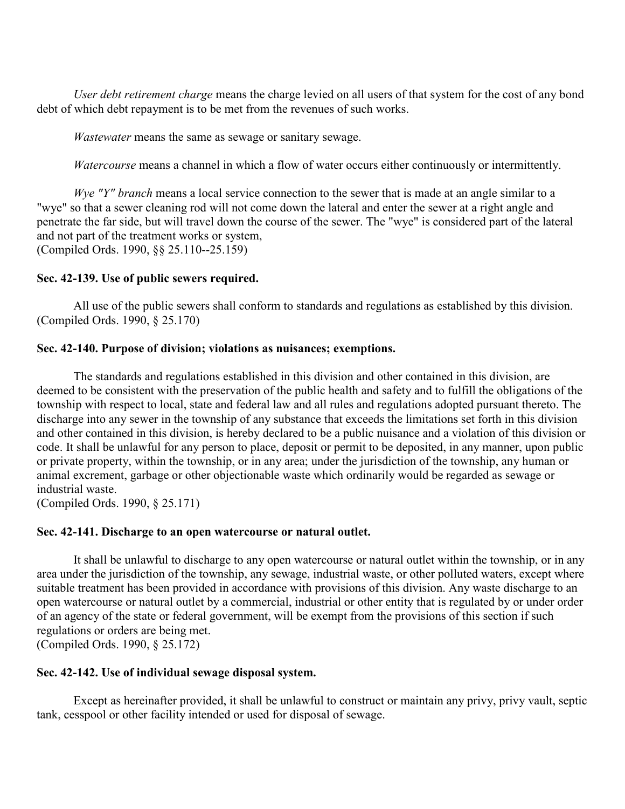*User debt retirement charge* means the charge levied on all users of that system for the cost of any bond debt of which debt repayment is to be met from the revenues of such works.

*Wastewater* means the same as sewage or sanitary sewage.

*Watercourse* means a channel in which a flow of water occurs either continuously or intermittently.

*Wye "Y" branch* means a local service connection to the sewer that is made at an angle similar to a "wye" so that a sewer cleaning rod will not come down the lateral and enter the sewer at a right angle and penetrate the far side, but will travel down the course of the sewer. The "wye" is considered part of the lateral and not part of the treatment works or system, (Compiled Ords. 1990, §§ 25.110--25.159)

#### **Sec. 42-139. Use of public sewers required.**

All use of the public sewers shall conform to standards and regulations as established by this division. (Compiled Ords. 1990, § 25.170)

#### **Sec. 42-140. Purpose of division; violations as nuisances; exemptions.**

The standards and regulations established in this division and other contained in this division, are deemed to be consistent with the preservation of the public health and safety and to fulfill the obligations of the township with respect to local, state and federal law and all rules and regulations adopted pursuant thereto. The discharge into any sewer in the township of any substance that exceeds the limitations set forth in this division and other contained in this division, is hereby declared to be a public nuisance and a violation of this division or code. It shall be unlawful for any person to place, deposit or permit to be deposited, in any manner, upon public or private property, within the township, or in any area; under the jurisdiction of the township, any human or animal excrement, garbage or other objectionable waste which ordinarily would be regarded as sewage or industrial waste.

(Compiled Ords. 1990, § 25.171)

#### **Sec. 42-141. Discharge to an open watercourse or natural outlet.**

It shall be unlawful to discharge to any open watercourse or natural outlet within the township, or in any area under the jurisdiction of the township, any sewage, industrial waste, or other polluted waters, except where suitable treatment has been provided in accordance with provisions of this division. Any waste discharge to an open watercourse or natural outlet by a commercial, industrial or other entity that is regulated by or under order of an agency of the state or federal government, will be exempt from the provisions of this section if such regulations or orders are being met. (Compiled Ords. 1990, § 25.172)

#### **Sec. 42-142. Use of individual sewage disposal system.**

Except as hereinafter provided, it shall be unlawful to construct or maintain any privy, privy vault, septic tank, cesspool or other facility intended or used for disposal of sewage.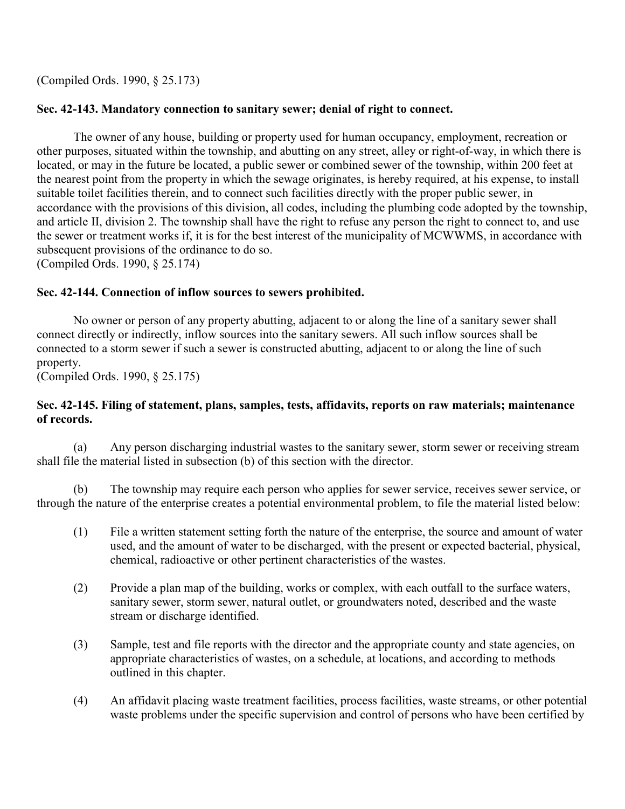(Compiled Ords. 1990, § 25.173)

# **Sec. 42-143. Mandatory connection to sanitary sewer; denial of right to connect.**

The owner of any house, building or property used for human occupancy, employment, recreation or other purposes, situated within the township, and abutting on any street, alley or right-of-way, in which there is located, or may in the future be located, a public sewer or combined sewer of the township, within 200 feet at the nearest point from the property in which the sewage originates, is hereby required, at his expense, to install suitable toilet facilities therein, and to connect such facilities directly with the proper public sewer, in accordance with the provisions of this division, all codes, including the plumbing code adopted by the township, and article II, division 2. The township shall have the right to refuse any person the right to connect to, and use the sewer or treatment works if, it is for the best interest of the municipality of MCWWMS, in accordance with subsequent provisions of the ordinance to do so. (Compiled Ords. 1990, § 25.174)

## **Sec. 42-144. Connection of inflow sources to sewers prohibited.**

No owner or person of any property abutting, adjacent to or along the line of a sanitary sewer shall connect directly or indirectly, inflow sources into the sanitary sewers. All such inflow sources shall be connected to a storm sewer if such a sewer is constructed abutting, adjacent to or along the line of such property.

(Compiled Ords. 1990, § 25.175)

## **Sec. 42-145. Filing of statement, plans, samples, tests, affidavits, reports on raw materials; maintenance of records.**

 (a) Any person discharging industrial wastes to the sanitary sewer, storm sewer or receiving stream shall file the material listed in subsection (b) of this section with the director.

 (b) The township may require each person who applies for sewer service, receives sewer service, or through the nature of the enterprise creates a potential environmental problem, to file the material listed below:

- (1) File a written statement setting forth the nature of the enterprise, the source and amount of water used, and the amount of water to be discharged, with the present or expected bacterial, physical, chemical, radioactive or other pertinent characteristics of the wastes.
- (2) Provide a plan map of the building, works or complex, with each outfall to the surface waters, sanitary sewer, storm sewer, natural outlet, or groundwaters noted, described and the waste stream or discharge identified.
- (3) Sample, test and file reports with the director and the appropriate county and state agencies, on appropriate characteristics of wastes, on a schedule, at locations, and according to methods outlined in this chapter.
- (4) An affidavit placing waste treatment facilities, process facilities, waste streams, or other potential waste problems under the specific supervision and control of persons who have been certified by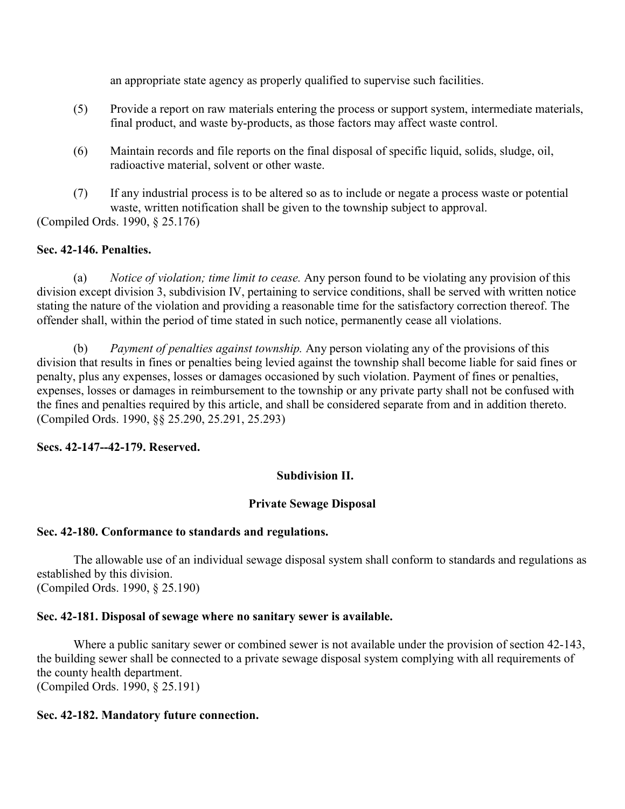an appropriate state agency as properly qualified to supervise such facilities.

- (5) Provide a report on raw materials entering the process or support system, intermediate materials, final product, and waste by-products, as those factors may affect waste control.
- (6) Maintain records and file reports on the final disposal of specific liquid, solids, sludge, oil, radioactive material, solvent or other waste.
- (7) If any industrial process is to be altered so as to include or negate a process waste or potential waste, written notification shall be given to the township subject to approval.

(Compiled Ords. 1990, § 25.176)

# **Sec. 42-146. Penalties.**

 (a) *Notice of violation; time limit to cease.* Any person found to be violating any provision of this division except division 3, subdivision IV, pertaining to service conditions, shall be served with written notice stating the nature of the violation and providing a reasonable time for the satisfactory correction thereof. The offender shall, within the period of time stated in such notice, permanently cease all violations.

 (b) *Payment of penalties against township.* Any person violating any of the provisions of this division that results in fines or penalties being levied against the township shall become liable for said fines or penalty, plus any expenses, losses or damages occasioned by such violation. Payment of fines or penalties, expenses, losses or damages in reimbursement to the township or any private party shall not be confused with the fines and penalties required by this article, and shall be considered separate from and in addition thereto. (Compiled Ords. 1990, §§ 25.290, 25.291, 25.293)

# **Secs. 42-147--42-179. Reserved.**

# **Subdivision II.**

# **Private Sewage Disposal**

# **Sec. 42-180. Conformance to standards and regulations.**

The allowable use of an individual sewage disposal system shall conform to standards and regulations as established by this division. (Compiled Ords. 1990, § 25.190)

# **Sec. 42-181. Disposal of sewage where no sanitary sewer is available.**

Where a public sanitary sewer or combined sewer is not available under the provision of section 42-143, the building sewer shall be connected to a private sewage disposal system complying with all requirements of the county health department. (Compiled Ords. 1990, § 25.191)

# **Sec. 42-182. Mandatory future connection.**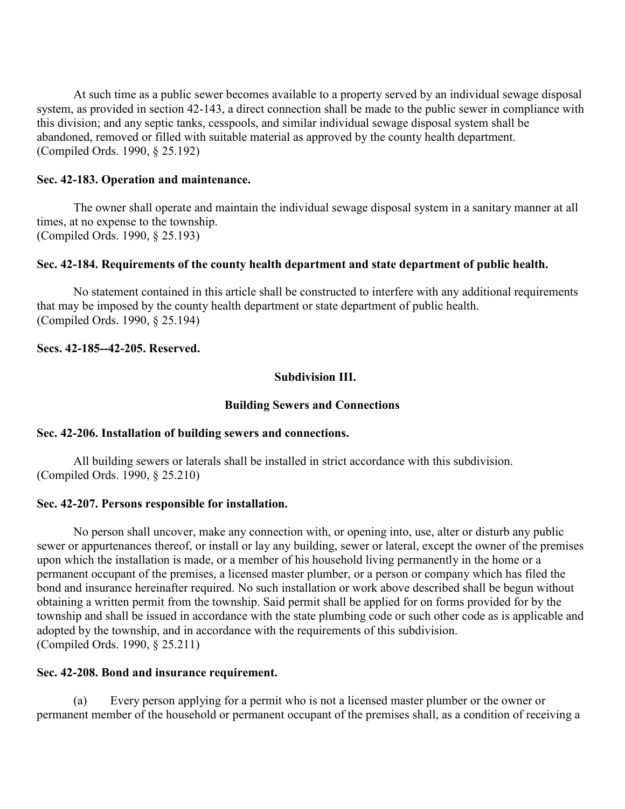At such time as a public sewer becomes available to a property served by an individual sewage disposal system, as provided in section 42-143, a direct connection shall be made to the public sewer in compliance with this division; and any septic tanks, cesspools, and similar individual sewage disposal system shall be abandoned, removed or filled with suitable material as approved by the county health department. (Compiled Ords. 1990, § 25.192)

## **Sec. 42-183. Operation and maintenance.**

The owner shall operate and maintain the individual sewage disposal system in a sanitary manner at all times, at no expense to the township. (Compiled Ords. 1990, § 25.193)

## **Sec. 42-184. Requirements of the county health department and state department of public health.**

No statement contained in this article shall be constructed to interfere with any additional requirements that may be imposed by the county health department or state department of public health. (Compiled Ords. 1990, § 25.194)

## **Secs. 42-185--42-205. Reserved.**

## **Subdivision III.**

## **Building Sewers and Connections**

## **Sec. 42-206. Installation of building sewers and connections.**

All building sewers or laterals shall be installed in strict accordance with this subdivision. (Compiled Ords. 1990, § 25.210)

## **Sec. 42-207. Persons responsible for installation.**

No person shall uncover, make any connection with, or opening into, use, alter or disturb any public sewer or appurtenances thereof, or install or lay any building, sewer or lateral, except the owner of the premises upon which the installation is made, or a member of his household living permanently in the home or a permanent occupant of the premises, a licensed master plumber, or a person or company which has filed the bond and insurance hereinafter required. No such installation or work above described shall be begun without obtaining a written permit from the township. Said permit shall be applied for on forms provided for by the township and shall be issued in accordance with the state plumbing code or such other code as is applicable and adopted by the township, and in accordance with the requirements of this subdivision. (Compiled Ords. 1990, § 25.211)

## **Sec. 42-208. Bond and insurance requirement.**

 (a) Every person applying for a permit who is not a licensed master plumber or the owner or permanent member of the household or permanent occupant of the premises shall, as a condition of receiving a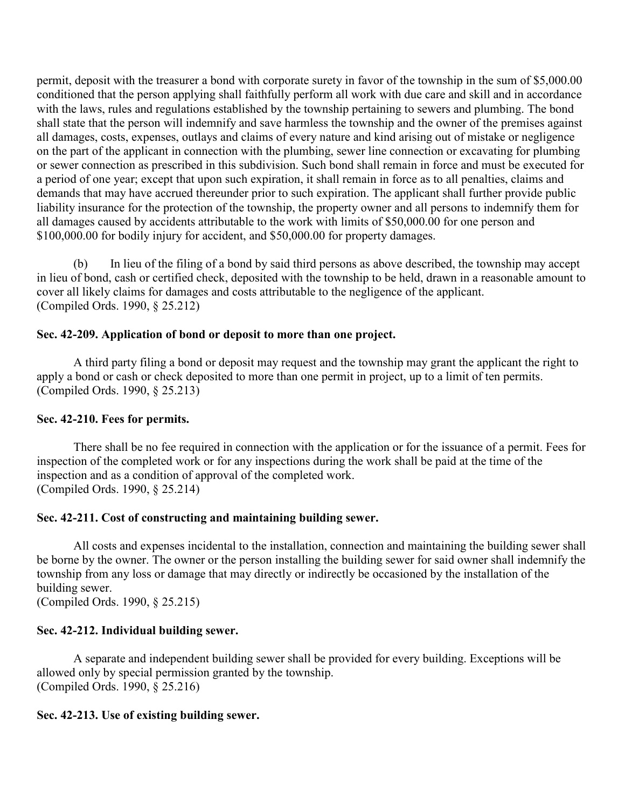permit, deposit with the treasurer a bond with corporate surety in favor of the township in the sum of \$5,000.00 conditioned that the person applying shall faithfully perform all work with due care and skill and in accordance with the laws, rules and regulations established by the township pertaining to sewers and plumbing. The bond shall state that the person will indemnify and save harmless the township and the owner of the premises against all damages, costs, expenses, outlays and claims of every nature and kind arising out of mistake or negligence on the part of the applicant in connection with the plumbing, sewer line connection or excavating for plumbing or sewer connection as prescribed in this subdivision. Such bond shall remain in force and must be executed for a period of one year; except that upon such expiration, it shall remain in force as to all penalties, claims and demands that may have accrued thereunder prior to such expiration. The applicant shall further provide public liability insurance for the protection of the township, the property owner and all persons to indemnify them for all damages caused by accidents attributable to the work with limits of \$50,000.00 for one person and \$100,000.00 for bodily injury for accident, and \$50,000.00 for property damages.

 (b) In lieu of the filing of a bond by said third persons as above described, the township may accept in lieu of bond, cash or certified check, deposited with the township to be held, drawn in a reasonable amount to cover all likely claims for damages and costs attributable to the negligence of the applicant. (Compiled Ords. 1990, § 25.212)

# **Sec. 42-209. Application of bond or deposit to more than one project.**

A third party filing a bond or deposit may request and the township may grant the applicant the right to apply a bond or cash or check deposited to more than one permit in project, up to a limit of ten permits. (Compiled Ords. 1990, § 25.213)

## **Sec. 42-210. Fees for permits.**

There shall be no fee required in connection with the application or for the issuance of a permit. Fees for inspection of the completed work or for any inspections during the work shall be paid at the time of the inspection and as a condition of approval of the completed work. (Compiled Ords. 1990, § 25.214)

## **Sec. 42-211. Cost of constructing and maintaining building sewer.**

All costs and expenses incidental to the installation, connection and maintaining the building sewer shall be borne by the owner. The owner or the person installing the building sewer for said owner shall indemnify the township from any loss or damage that may directly or indirectly be occasioned by the installation of the building sewer.

(Compiled Ords. 1990, § 25.215)

# **Sec. 42-212. Individual building sewer.**

A separate and independent building sewer shall be provided for every building. Exceptions will be allowed only by special permission granted by the township. (Compiled Ords. 1990, § 25.216)

# **Sec. 42-213. Use of existing building sewer.**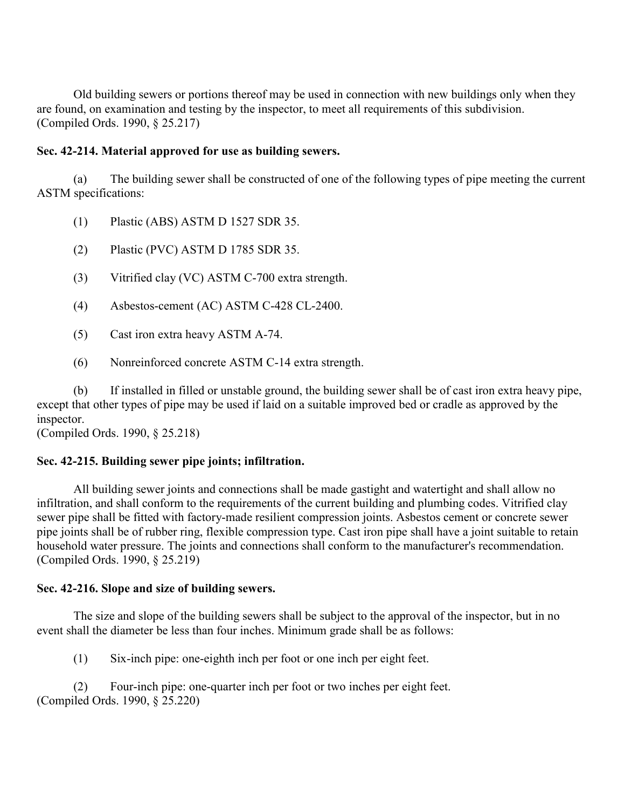Old building sewers or portions thereof may be used in connection with new buildings only when they are found, on examination and testing by the inspector, to meet all requirements of this subdivision. (Compiled Ords. 1990, § 25.217)

# **Sec. 42-214. Material approved for use as building sewers.**

 (a) The building sewer shall be constructed of one of the following types of pipe meeting the current ASTM specifications:

- (1) Plastic (ABS) ASTM D 1527 SDR 35.
- (2) Plastic (PVC) ASTM D 1785 SDR 35.
- (3) Vitrified clay (VC) ASTM C-700 extra strength.
- (4) Asbestos-cement (AC) ASTM C-428 CL-2400.
- (5) Cast iron extra heavy ASTM A-74.
- (6) Nonreinforced concrete ASTM C-14 extra strength.

 (b) If installed in filled or unstable ground, the building sewer shall be of cast iron extra heavy pipe, except that other types of pipe may be used if laid on a suitable improved bed or cradle as approved by the inspector.

(Compiled Ords. 1990, § 25.218)

# **Sec. 42-215. Building sewer pipe joints; infiltration.**

All building sewer joints and connections shall be made gastight and watertight and shall allow no infiltration, and shall conform to the requirements of the current building and plumbing codes. Vitrified clay sewer pipe shall be fitted with factory-made resilient compression joints. Asbestos cement or concrete sewer pipe joints shall be of rubber ring, flexible compression type. Cast iron pipe shall have a joint suitable to retain household water pressure. The joints and connections shall conform to the manufacturer's recommendation. (Compiled Ords. 1990, § 25.219)

# **Sec. 42-216. Slope and size of building sewers.**

The size and slope of the building sewers shall be subject to the approval of the inspector, but in no event shall the diameter be less than four inches. Minimum grade shall be as follows:

(1) Six-inch pipe: one-eighth inch per foot or one inch per eight feet.

 (2) Four-inch pipe: one-quarter inch per foot or two inches per eight feet. (Compiled Ords. 1990, § 25.220)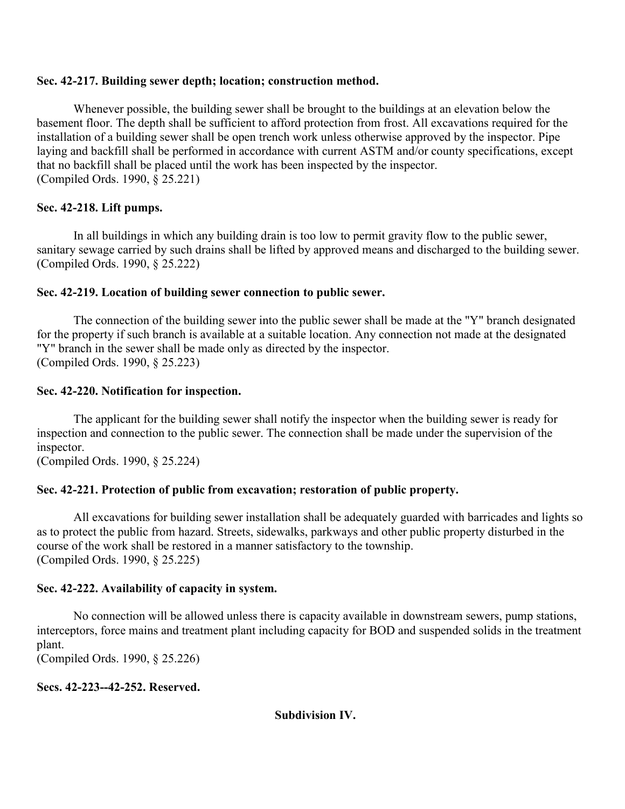## **Sec. 42-217. Building sewer depth; location; construction method.**

Whenever possible, the building sewer shall be brought to the buildings at an elevation below the basement floor. The depth shall be sufficient to afford protection from frost. All excavations required for the installation of a building sewer shall be open trench work unless otherwise approved by the inspector. Pipe laying and backfill shall be performed in accordance with current ASTM and/or county specifications, except that no backfill shall be placed until the work has been inspected by the inspector. (Compiled Ords. 1990, § 25.221)

# **Sec. 42-218. Lift pumps.**

In all buildings in which any building drain is too low to permit gravity flow to the public sewer, sanitary sewage carried by such drains shall be lifted by approved means and discharged to the building sewer. (Compiled Ords. 1990, § 25.222)

## **Sec. 42-219. Location of building sewer connection to public sewer.**

The connection of the building sewer into the public sewer shall be made at the "Y" branch designated for the property if such branch is available at a suitable location. Any connection not made at the designated "Y" branch in the sewer shall be made only as directed by the inspector. (Compiled Ords. 1990, § 25.223)

## **Sec. 42-220. Notification for inspection.**

The applicant for the building sewer shall notify the inspector when the building sewer is ready for inspection and connection to the public sewer. The connection shall be made under the supervision of the inspector.

(Compiled Ords. 1990, § 25.224)

# **Sec. 42-221. Protection of public from excavation; restoration of public property.**

All excavations for building sewer installation shall be adequately guarded with barricades and lights so as to protect the public from hazard. Streets, sidewalks, parkways and other public property disturbed in the course of the work shall be restored in a manner satisfactory to the township. (Compiled Ords. 1990, § 25.225)

# **Sec. 42-222. Availability of capacity in system.**

No connection will be allowed unless there is capacity available in downstream sewers, pump stations, interceptors, force mains and treatment plant including capacity for BOD and suspended solids in the treatment plant.

(Compiled Ords. 1990, § 25.226)

# **Secs. 42-223--42-252. Reserved.**

**Subdivision IV.**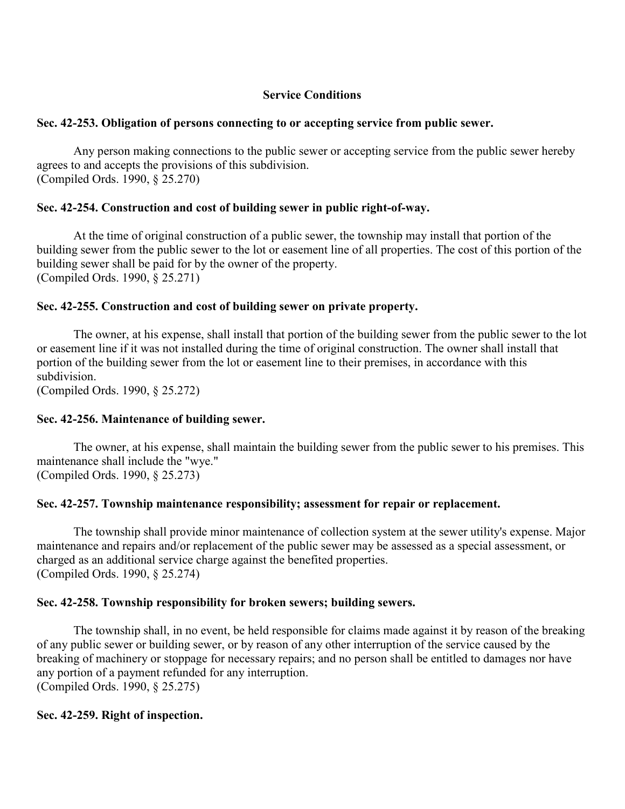# **Service Conditions**

## **Sec. 42-253. Obligation of persons connecting to or accepting service from public sewer.**

Any person making connections to the public sewer or accepting service from the public sewer hereby agrees to and accepts the provisions of this subdivision. (Compiled Ords. 1990, § 25.270)

# **Sec. 42-254. Construction and cost of building sewer in public right-of-way.**

At the time of original construction of a public sewer, the township may install that portion of the building sewer from the public sewer to the lot or easement line of all properties. The cost of this portion of the building sewer shall be paid for by the owner of the property. (Compiled Ords. 1990, § 25.271)

## **Sec. 42-255. Construction and cost of building sewer on private property.**

The owner, at his expense, shall install that portion of the building sewer from the public sewer to the lot or easement line if it was not installed during the time of original construction. The owner shall install that portion of the building sewer from the lot or easement line to their premises, in accordance with this subdivision.

(Compiled Ords. 1990, § 25.272)

## **Sec. 42-256. Maintenance of building sewer.**

The owner, at his expense, shall maintain the building sewer from the public sewer to his premises. This maintenance shall include the "wye." (Compiled Ords. 1990, § 25.273)

## **Sec. 42-257. Township maintenance responsibility; assessment for repair or replacement.**

The township shall provide minor maintenance of collection system at the sewer utility's expense. Major maintenance and repairs and/or replacement of the public sewer may be assessed as a special assessment, or charged as an additional service charge against the benefited properties. (Compiled Ords. 1990, § 25.274)

## **Sec. 42-258. Township responsibility for broken sewers; building sewers.**

The township shall, in no event, be held responsible for claims made against it by reason of the breaking of any public sewer or building sewer, or by reason of any other interruption of the service caused by the breaking of machinery or stoppage for necessary repairs; and no person shall be entitled to damages nor have any portion of a payment refunded for any interruption. (Compiled Ords. 1990, § 25.275)

## **Sec. 42-259. Right of inspection.**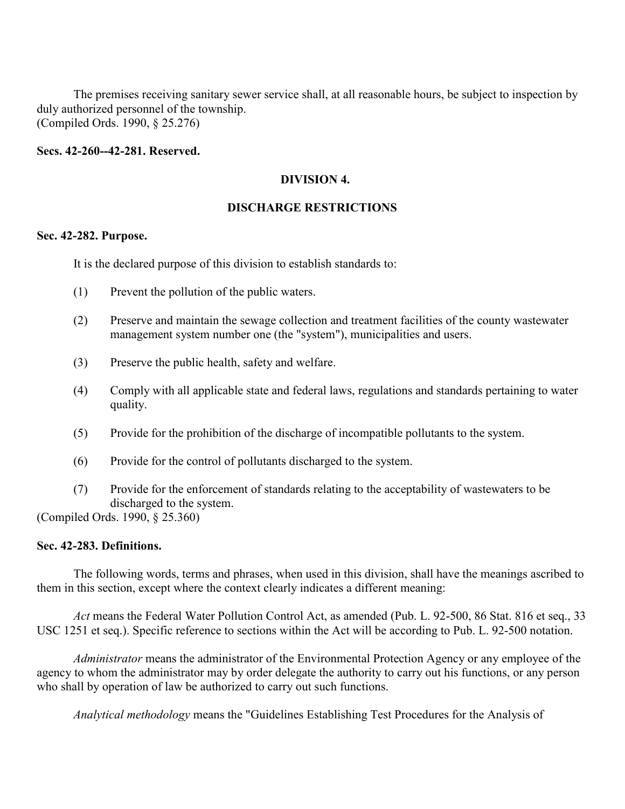The premises receiving sanitary sewer service shall, at all reasonable hours, be subject to inspection by duly authorized personnel of the township. (Compiled Ords. 1990, § 25.276)

#### **Secs. 42-260--42-281. Reserved.**

#### **DIVISION 4.**

## **DISCHARGE RESTRICTIONS**

#### **Sec. 42-282. Purpose.**

It is the declared purpose of this division to establish standards to:

- (1) Prevent the pollution of the public waters.
- (2) Preserve and maintain the sewage collection and treatment facilities of the county wastewater management system number one (the "system"), municipalities and users.
- (3) Preserve the public health, safety and welfare.
- (4) Comply with all applicable state and federal laws, regulations and standards pertaining to water quality.
- (5) Provide for the prohibition of the discharge of incompatible pollutants to the system.
- (6) Provide for the control of pollutants discharged to the system.
- (7) Provide for the enforcement of standards relating to the acceptability of wastewaters to be discharged to the system.

(Compiled Ords. 1990, § 25.360)

## **Sec. 42-283. Definitions.**

The following words, terms and phrases, when used in this division, shall have the meanings ascribed to them in this section, except where the context clearly indicates a different meaning:

*Act* means the Federal Water Pollution Control Act, as amended (Pub. L. 92-500, 86 Stat. 816 et seq., 33 USC 1251 et seq.). Specific reference to sections within the Act will be according to Pub. L. 92-500 notation.

*Administrator* means the administrator of the Environmental Protection Agency or any employee of the agency to whom the administrator may by order delegate the authority to carry out his functions, or any person who shall by operation of law be authorized to carry out such functions.

*Analytical methodology* means the "Guidelines Establishing Test Procedures for the Analysis of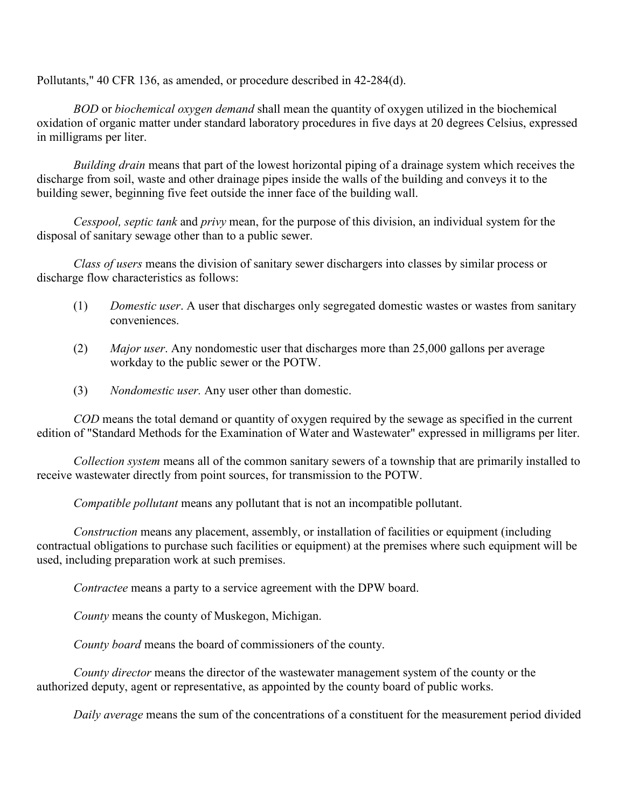Pollutants," 40 CFR 136, as amended, or procedure described in 42-284(d).

*BOD* or *biochemical oxygen demand* shall mean the quantity of oxygen utilized in the biochemical oxidation of organic matter under standard laboratory procedures in five days at 20 degrees Celsius, expressed in milligrams per liter.

*Building drain* means that part of the lowest horizontal piping of a drainage system which receives the discharge from soil, waste and other drainage pipes inside the walls of the building and conveys it to the building sewer, beginning five feet outside the inner face of the building wall.

*Cesspool, septic tank* and *privy* mean, for the purpose of this division, an individual system for the disposal of sanitary sewage other than to a public sewer.

*Class of users* means the division of sanitary sewer dischargers into classes by similar process or discharge flow characteristics as follows:

- (1) *Domestic user*. A user that discharges only segregated domestic wastes or wastes from sanitary conveniences.
- (2) *Major user*. Any nondomestic user that discharges more than 25,000 gallons per average workday to the public sewer or the POTW.
- (3) *Nondomestic user.* Any user other than domestic.

*COD* means the total demand or quantity of oxygen required by the sewage as specified in the current edition of "Standard Methods for the Examination of Water and Wastewater" expressed in milligrams per liter.

*Collection system* means all of the common sanitary sewers of a township that are primarily installed to receive wastewater directly from point sources, for transmission to the POTW.

*Compatible pollutant* means any pollutant that is not an incompatible pollutant.

*Construction* means any placement, assembly, or installation of facilities or equipment (including contractual obligations to purchase such facilities or equipment) at the premises where such equipment will be used, including preparation work at such premises.

*Contractee* means a party to a service agreement with the DPW board.

*County* means the county of Muskegon, Michigan.

*County board* means the board of commissioners of the county.

*County director* means the director of the wastewater management system of the county or the authorized deputy, agent or representative, as appointed by the county board of public works.

*Daily average* means the sum of the concentrations of a constituent for the measurement period divided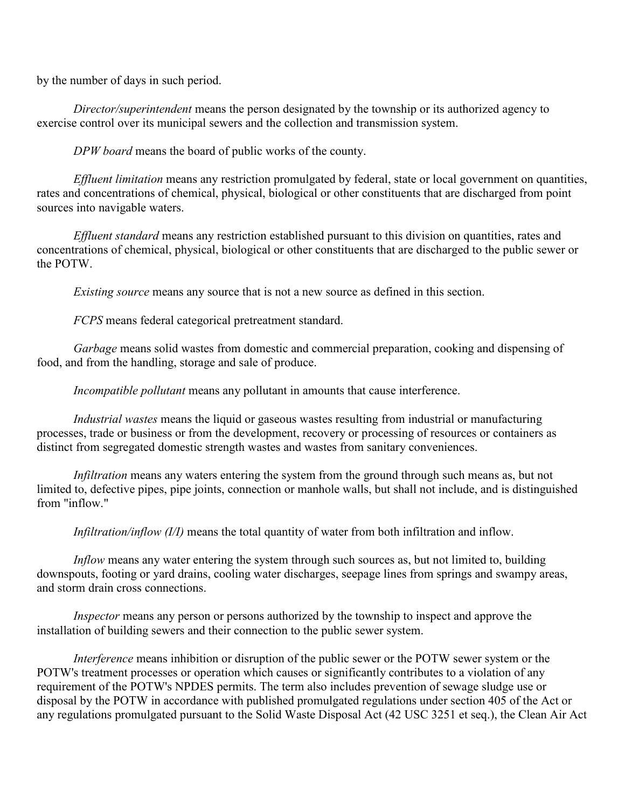by the number of days in such period.

*Director/superintendent* means the person designated by the township or its authorized agency to exercise control over its municipal sewers and the collection and transmission system.

*DPW board* means the board of public works of the county.

*Effluent limitation* means any restriction promulgated by federal, state or local government on quantities, rates and concentrations of chemical, physical, biological or other constituents that are discharged from point sources into navigable waters.

*Effluent standard* means any restriction established pursuant to this division on quantities, rates and concentrations of chemical, physical, biological or other constituents that are discharged to the public sewer or the POTW.

*Existing source* means any source that is not a new source as defined in this section.

*FCPS* means federal categorical pretreatment standard.

*Garbage* means solid wastes from domestic and commercial preparation, cooking and dispensing of food, and from the handling, storage and sale of produce.

*Incompatible pollutant* means any pollutant in amounts that cause interference.

*Industrial wastes* means the liquid or gaseous wastes resulting from industrial or manufacturing processes, trade or business or from the development, recovery or processing of resources or containers as distinct from segregated domestic strength wastes and wastes from sanitary conveniences.

*Infiltration* means any waters entering the system from the ground through such means as, but not limited to, defective pipes, pipe joints, connection or manhole walls, but shall not include, and is distinguished from "inflow."

*Infiltration/inflow (I/I)* means the total quantity of water from both infiltration and inflow.

*Inflow* means any water entering the system through such sources as, but not limited to, building downspouts, footing or yard drains, cooling water discharges, seepage lines from springs and swampy areas, and storm drain cross connections.

*Inspector* means any person or persons authorized by the township to inspect and approve the installation of building sewers and their connection to the public sewer system.

*Interference* means inhibition or disruption of the public sewer or the POTW sewer system or the POTW's treatment processes or operation which causes or significantly contributes to a violation of any requirement of the POTW's NPDES permits. The term also includes prevention of sewage sludge use or disposal by the POTW in accordance with published promulgated regulations under section 405 of the Act or any regulations promulgated pursuant to the Solid Waste Disposal Act (42 USC 3251 et seq.), the Clean Air Act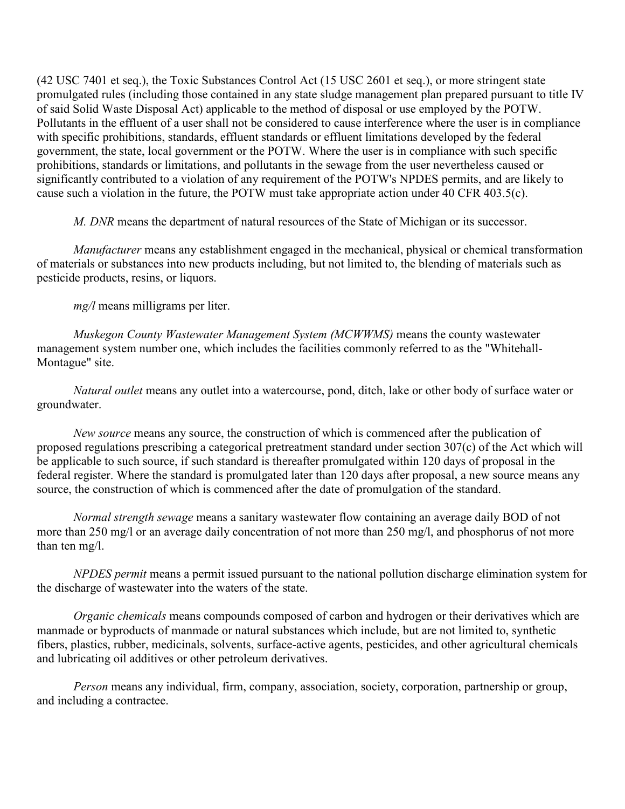(42 USC 7401 et seq.), the Toxic Substances Control Act (15 USC 2601 et seq.), or more stringent state promulgated rules (including those contained in any state sludge management plan prepared pursuant to title IV of said Solid Waste Disposal Act) applicable to the method of disposal or use employed by the POTW. Pollutants in the effluent of a user shall not be considered to cause interference where the user is in compliance with specific prohibitions, standards, effluent standards or effluent limitations developed by the federal government, the state, local government or the POTW. Where the user is in compliance with such specific prohibitions, standards or limitations, and pollutants in the sewage from the user nevertheless caused or significantly contributed to a violation of any requirement of the POTW's NPDES permits, and are likely to cause such a violation in the future, the POTW must take appropriate action under 40 CFR 403.5(c).

*M. DNR* means the department of natural resources of the State of Michigan or its successor.

*Manufacturer* means any establishment engaged in the mechanical, physical or chemical transformation of materials or substances into new products including, but not limited to, the blending of materials such as pesticide products, resins, or liquors.

*mg/l* means milligrams per liter.

*Muskegon County Wastewater Management System (MCWWMS)* means the county wastewater management system number one, which includes the facilities commonly referred to as the "Whitehall-Montague" site.

*Natural outlet* means any outlet into a watercourse, pond, ditch, lake or other body of surface water or groundwater.

*New source* means any source, the construction of which is commenced after the publication of proposed regulations prescribing a categorical pretreatment standard under section 307(c) of the Act which will be applicable to such source, if such standard is thereafter promulgated within 120 days of proposal in the federal register. Where the standard is promulgated later than 120 days after proposal, a new source means any source, the construction of which is commenced after the date of promulgation of the standard.

*Normal strength sewage* means a sanitary wastewater flow containing an average daily BOD of not more than 250 mg/l or an average daily concentration of not more than 250 mg/l, and phosphorus of not more than ten mg/l.

*NPDES permit* means a permit issued pursuant to the national pollution discharge elimination system for the discharge of wastewater into the waters of the state.

*Organic chemicals* means compounds composed of carbon and hydrogen or their derivatives which are manmade or byproducts of manmade or natural substances which include, but are not limited to, synthetic fibers, plastics, rubber, medicinals, solvents, surface-active agents, pesticides, and other agricultural chemicals and lubricating oil additives or other petroleum derivatives.

*Person* means any individual, firm, company, association, society, corporation, partnership or group, and including a contractee.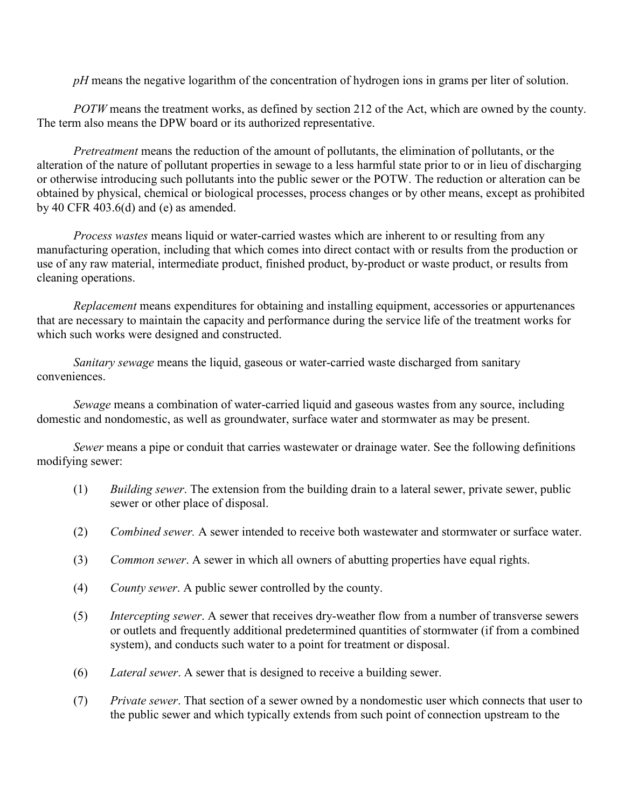*pH* means the negative logarithm of the concentration of hydrogen ions in grams per liter of solution.

*POTW* means the treatment works, as defined by section 212 of the Act, which are owned by the county. The term also means the DPW board or its authorized representative.

*Pretreatment* means the reduction of the amount of pollutants, the elimination of pollutants, or the alteration of the nature of pollutant properties in sewage to a less harmful state prior to or in lieu of discharging or otherwise introducing such pollutants into the public sewer or the POTW. The reduction or alteration can be obtained by physical, chemical or biological processes, process changes or by other means, except as prohibited by 40 CFR 403.6(d) and (e) as amended.

*Process wastes* means liquid or water-carried wastes which are inherent to or resulting from any manufacturing operation, including that which comes into direct contact with or results from the production or use of any raw material, intermediate product, finished product, by-product or waste product, or results from cleaning operations.

*Replacement* means expenditures for obtaining and installing equipment, accessories or appurtenances that are necessary to maintain the capacity and performance during the service life of the treatment works for which such works were designed and constructed.

*Sanitary sewage* means the liquid, gaseous or water-carried waste discharged from sanitary conveniences.

*Sewage* means a combination of water-carried liquid and gaseous wastes from any source, including domestic and nondomestic, as well as groundwater, surface water and stormwater as may be present.

*Sewer* means a pipe or conduit that carries wastewater or drainage water. See the following definitions modifying sewer:

- (1) *Building sewer*. The extension from the building drain to a lateral sewer, private sewer, public sewer or other place of disposal.
- (2) *Combined sewer.* A sewer intended to receive both wastewater and stormwater or surface water.
- (3) *Common sewer*. A sewer in which all owners of abutting properties have equal rights.
- (4) *County sewer*. A public sewer controlled by the county.
- (5) *Intercepting sewer*. A sewer that receives dry-weather flow from a number of transverse sewers or outlets and frequently additional predetermined quantities of stormwater (if from a combined system), and conducts such water to a point for treatment or disposal.
- (6) *Lateral sewer*. A sewer that is designed to receive a building sewer.
- (7) *Private sewer*. That section of a sewer owned by a nondomestic user which connects that user to the public sewer and which typically extends from such point of connection upstream to the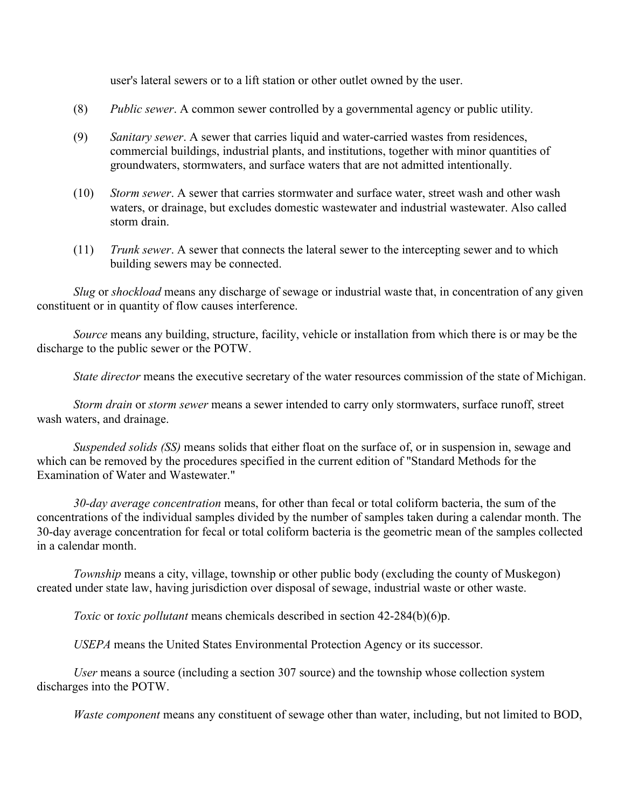user's lateral sewers or to a lift station or other outlet owned by the user.

- (8) *Public sewer*. A common sewer controlled by a governmental agency or public utility.
- (9) *Sanitary sewer*. A sewer that carries liquid and water-carried wastes from residences, commercial buildings, industrial plants, and institutions, together with minor quantities of groundwaters, stormwaters, and surface waters that are not admitted intentionally.
- (10) *Storm sewer*. A sewer that carries stormwater and surface water, street wash and other wash waters, or drainage, but excludes domestic wastewater and industrial wastewater. Also called storm drain.
- (11) *Trunk sewer*. A sewer that connects the lateral sewer to the intercepting sewer and to which building sewers may be connected.

*Slug* or *shockload* means any discharge of sewage or industrial waste that, in concentration of any given constituent or in quantity of flow causes interference.

*Source* means any building, structure, facility, vehicle or installation from which there is or may be the discharge to the public sewer or the POTW.

*State director* means the executive secretary of the water resources commission of the state of Michigan.

*Storm drain* or *storm sewer* means a sewer intended to carry only stormwaters, surface runoff, street wash waters, and drainage.

*Suspended solids (SS)* means solids that either float on the surface of, or in suspension in, sewage and which can be removed by the procedures specified in the current edition of "Standard Methods for the Examination of Water and Wastewater."

*30-day average concentration* means, for other than fecal or total coliform bacteria, the sum of the concentrations of the individual samples divided by the number of samples taken during a calendar month. The 30-day average concentration for fecal or total coliform bacteria is the geometric mean of the samples collected in a calendar month.

*Township* means a city, village, township or other public body (excluding the county of Muskegon) created under state law, having jurisdiction over disposal of sewage, industrial waste or other waste.

*Toxic* or *toxic pollutant* means chemicals described in section 42-284(b)(6)p.

*USEPA* means the United States Environmental Protection Agency or its successor.

*User* means a source (including a section 307 source) and the township whose collection system discharges into the POTW.

*Waste component* means any constituent of sewage other than water, including, but not limited to BOD,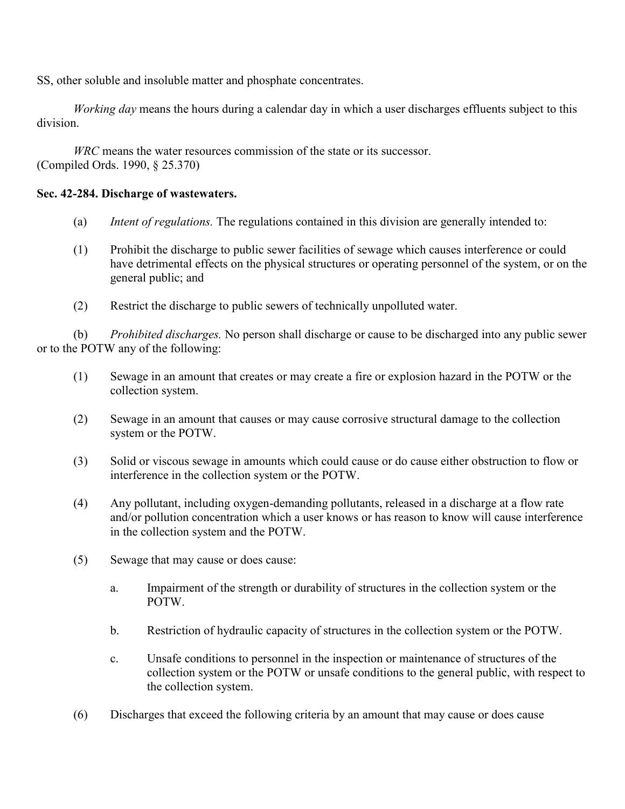SS, other soluble and insoluble matter and phosphate concentrates.

*Working day* means the hours during a calendar day in which a user discharges effluents subject to this division.

*WRC* means the water resources commission of the state or its successor. (Compiled Ords. 1990, § 25.370)

## **Sec. 42-284. Discharge of wastewaters.**

- (a) *Intent of regulations.* The regulations contained in this division are generally intended to:
- (1) Prohibit the discharge to public sewer facilities of sewage which causes interference or could have detrimental effects on the physical structures or operating personnel of the system, or on the general public; and
- (2) Restrict the discharge to public sewers of technically unpolluted water.

 (b) *Prohibited discharges.* No person shall discharge or cause to be discharged into any public sewer or to the POTW any of the following:

- (1) Sewage in an amount that creates or may create a fire or explosion hazard in the POTW or the collection system.
- (2) Sewage in an amount that causes or may cause corrosive structural damage to the collection system or the POTW.
- (3) Solid or viscous sewage in amounts which could cause or do cause either obstruction to flow or interference in the collection system or the POTW.
- (4) Any pollutant, including oxygen-demanding pollutants, released in a discharge at a flow rate and/or pollution concentration which a user knows or has reason to know will cause interference in the collection system and the POTW.
- (5) Sewage that may cause or does cause:
	- a. Impairment of the strength or durability of structures in the collection system or the POTW.
	- b. Restriction of hydraulic capacity of structures in the collection system or the POTW.
	- c. Unsafe conditions to personnel in the inspection or maintenance of structures of the collection system or the POTW or unsafe conditions to the general public, with respect to the collection system.
- (6) Discharges that exceed the following criteria by an amount that may cause or does cause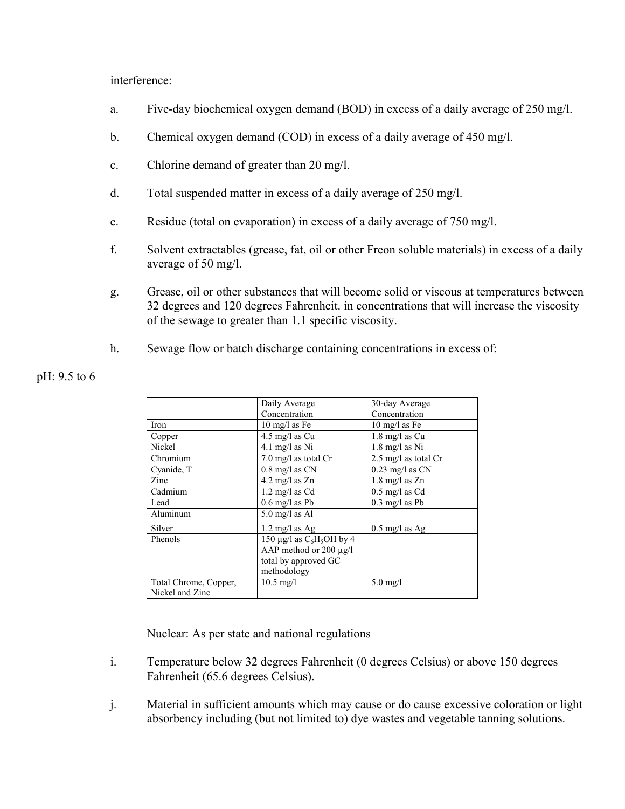interference:

- a. Five-day biochemical oxygen demand (BOD) in excess of a daily average of 250 mg/l.
- b. Chemical oxygen demand (COD) in excess of a daily average of 450 mg/l.
- c. Chlorine demand of greater than 20 mg/l.
- d. Total suspended matter in excess of a daily average of 250 mg/l.
- e. Residue (total on evaporation) in excess of a daily average of 750 mg/l.
- f. Solvent extractables (grease, fat, oil or other Freon soluble materials) in excess of a daily average of 50 mg/l.
- g. Grease, oil or other substances that will become solid or viscous at temperatures between 32 degrees and 120 degrees Fahrenheit. in concentrations that will increase the viscosity of the sewage to greater than 1.1 specific viscosity.
- h. Sewage flow or batch discharge containing concentrations in excess of:

|                       | Daily Average               | 30-day Average                 |
|-----------------------|-----------------------------|--------------------------------|
|                       | Concentration               | Concentration                  |
| Iron                  | $10 \text{ mg/l}$ as Fe     | $10 \text{ mg/l}$ as Fe        |
| Copper                | 4.5 mg/l as $Cu$            | 1.8 mg/l as Cu                 |
| Nickel                | $4.1$ mg/l as Ni            | $1.8$ mg/l as Ni               |
| Chromium              | $7.0$ mg/l as total Cr      | $2.5 \text{ mg/l}$ as total Cr |
| Cyanide, T            | $0.8$ mg/l as CN            | $0.23$ mg/l as CN              |
| Zinc                  | 4.2 mg/l as $Zn$            | $1.8 \text{ mg}/l$ as $Zn$     |
| Cadmium               | $1.2 \text{ mg/l}$ as Cd    | $0.5$ mg/l as Cd               |
| Lead                  | $0.6$ mg/l as Pb            | $0.3 \text{ mg/l}$ as Pb       |
| Aluminum              | $5.0$ mg/l as Al            |                                |
| Silver                | $1.2 \text{ mg}/l$ as Ag    | $0.5 \text{ mg}/l$ as Ag       |
| Phenols               | 150 µg/l as $C_6H_5OH$ by 4 |                                |
|                       | AAP method or $200 \mu g/l$ |                                |
|                       | total by approved GC        |                                |
|                       | methodology                 |                                |
| Total Chrome, Copper, | $10.5 \text{ mg/l}$         | $5.0$ mg/l                     |
| Nickel and Zinc       |                             |                                |

## pH: 9.5 to 6

Nuclear: As per state and national regulations

- i. Temperature below 32 degrees Fahrenheit (0 degrees Celsius) or above 150 degrees Fahrenheit (65.6 degrees Celsius).
- j. Material in sufficient amounts which may cause or do cause excessive coloration or light absorbency including (but not limited to) dye wastes and vegetable tanning solutions.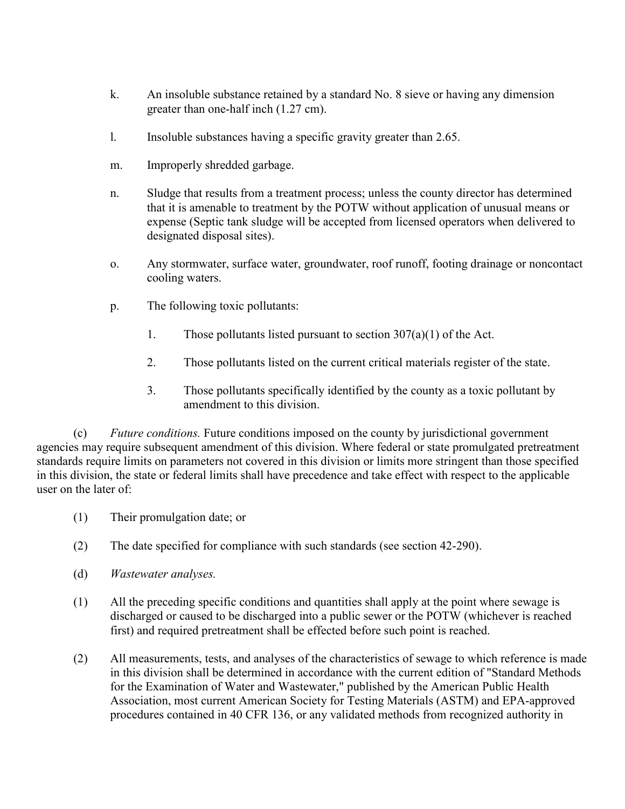- k. An insoluble substance retained by a standard No. 8 sieve or having any dimension greater than one-half inch (1.27 cm).
- l. Insoluble substances having a specific gravity greater than 2.65.
- m. Improperly shredded garbage.
- n. Sludge that results from a treatment process; unless the county director has determined that it is amenable to treatment by the POTW without application of unusual means or expense (Septic tank sludge will be accepted from licensed operators when delivered to designated disposal sites).
- o. Any stormwater, surface water, groundwater, roof runoff, footing drainage or noncontact cooling waters.
- p. The following toxic pollutants:
	- 1. Those pollutants listed pursuant to section 307(a)(1) of the Act.
	- 2. Those pollutants listed on the current critical materials register of the state.
	- 3. Those pollutants specifically identified by the county as a toxic pollutant by amendment to this division.

 (c) *Future conditions.* Future conditions imposed on the county by jurisdictional government agencies may require subsequent amendment of this division. Where federal or state promulgated pretreatment standards require limits on parameters not covered in this division or limits more stringent than those specified in this division, the state or federal limits shall have precedence and take effect with respect to the applicable user on the later of:

- (1) Their promulgation date; or
- (2) The date specified for compliance with such standards (see section 42-290).
- (d) *Wastewater analyses.*
- (1) All the preceding specific conditions and quantities shall apply at the point where sewage is discharged or caused to be discharged into a public sewer or the POTW (whichever is reached first) and required pretreatment shall be effected before such point is reached.
- (2) All measurements, tests, and analyses of the characteristics of sewage to which reference is made in this division shall be determined in accordance with the current edition of "Standard Methods for the Examination of Water and Wastewater," published by the American Public Health Association, most current American Society for Testing Materials (ASTM) and EPA-approved procedures contained in 40 CFR 136, or any validated methods from recognized authority in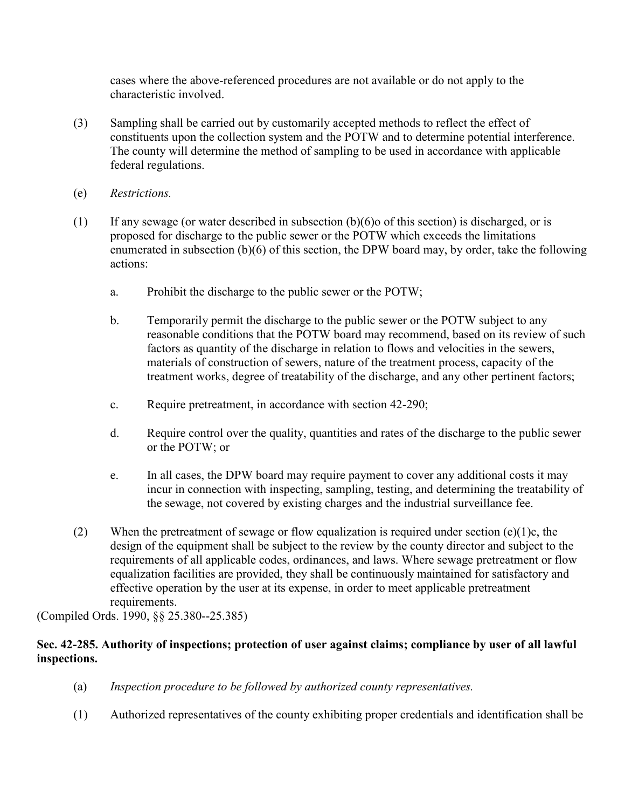cases where the above-referenced procedures are not available or do not apply to the characteristic involved.

- (3) Sampling shall be carried out by customarily accepted methods to reflect the effect of constituents upon the collection system and the POTW and to determine potential interference. The county will determine the method of sampling to be used in accordance with applicable federal regulations.
- (e) *Restrictions.*
- (1) If any sewage (or water described in subsection  $(b)(6)$  of this section) is discharged, or is proposed for discharge to the public sewer or the POTW which exceeds the limitations enumerated in subsection (b)(6) of this section, the DPW board may, by order, take the following actions:
	- a. Prohibit the discharge to the public sewer or the POTW;
	- b. Temporarily permit the discharge to the public sewer or the POTW subject to any reasonable conditions that the POTW board may recommend, based on its review of such factors as quantity of the discharge in relation to flows and velocities in the sewers, materials of construction of sewers, nature of the treatment process, capacity of the treatment works, degree of treatability of the discharge, and any other pertinent factors;
	- c. Require pretreatment, in accordance with section 42-290;
	- d. Require control over the quality, quantities and rates of the discharge to the public sewer or the POTW; or
	- e. In all cases, the DPW board may require payment to cover any additional costs it may incur in connection with inspecting, sampling, testing, and determining the treatability of the sewage, not covered by existing charges and the industrial surveillance fee.
- (2) When the pretreatment of sewage or flow equalization is required under section  $(e)(1)c$ , the design of the equipment shall be subject to the review by the county director and subject to the requirements of all applicable codes, ordinances, and laws. Where sewage pretreatment or flow equalization facilities are provided, they shall be continuously maintained for satisfactory and effective operation by the user at its expense, in order to meet applicable pretreatment requirements.

(Compiled Ords. 1990, §§ 25.380--25.385)

# **Sec. 42-285. Authority of inspections; protection of user against claims; compliance by user of all lawful inspections.**

- (a) *Inspection procedure to be followed by authorized county representatives.*
- (1) Authorized representatives of the county exhibiting proper credentials and identification shall be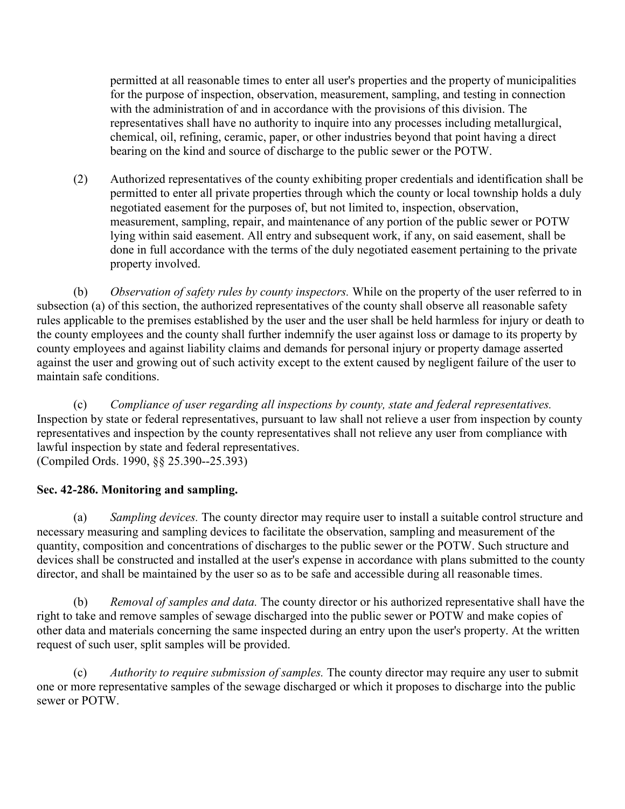permitted at all reasonable times to enter all user's properties and the property of municipalities for the purpose of inspection, observation, measurement, sampling, and testing in connection with the administration of and in accordance with the provisions of this division. The representatives shall have no authority to inquire into any processes including metallurgical, chemical, oil, refining, ceramic, paper, or other industries beyond that point having a direct bearing on the kind and source of discharge to the public sewer or the POTW.

 (2) Authorized representatives of the county exhibiting proper credentials and identification shall be permitted to enter all private properties through which the county or local township holds a duly negotiated easement for the purposes of, but not limited to, inspection, observation, measurement, sampling, repair, and maintenance of any portion of the public sewer or POTW lying within said easement. All entry and subsequent work, if any, on said easement, shall be done in full accordance with the terms of the duly negotiated easement pertaining to the private property involved.

 (b) *Observation of safety rules by county inspectors.* While on the property of the user referred to in subsection (a) of this section, the authorized representatives of the county shall observe all reasonable safety rules applicable to the premises established by the user and the user shall be held harmless for injury or death to the county employees and the county shall further indemnify the user against loss or damage to its property by county employees and against liability claims and demands for personal injury or property damage asserted against the user and growing out of such activity except to the extent caused by negligent failure of the user to maintain safe conditions.

 (c) *Compliance of user regarding all inspections by county, state and federal representatives.* Inspection by state or federal representatives, pursuant to law shall not relieve a user from inspection by county representatives and inspection by the county representatives shall not relieve any user from compliance with lawful inspection by state and federal representatives. (Compiled Ords. 1990, §§ 25.390--25.393)

# **Sec. 42-286. Monitoring and sampling.**

 (a) *Sampling devices.* The county director may require user to install a suitable control structure and necessary measuring and sampling devices to facilitate the observation, sampling and measurement of the quantity, composition and concentrations of discharges to the public sewer or the POTW. Such structure and devices shall be constructed and installed at the user's expense in accordance with plans submitted to the county director, and shall be maintained by the user so as to be safe and accessible during all reasonable times.

 (b) *Removal of samples and data.* The county director or his authorized representative shall have the right to take and remove samples of sewage discharged into the public sewer or POTW and make copies of other data and materials concerning the same inspected during an entry upon the user's property. At the written request of such user, split samples will be provided.

 (c) *Authority to require submission of samples.* The county director may require any user to submit one or more representative samples of the sewage discharged or which it proposes to discharge into the public sewer or POTW.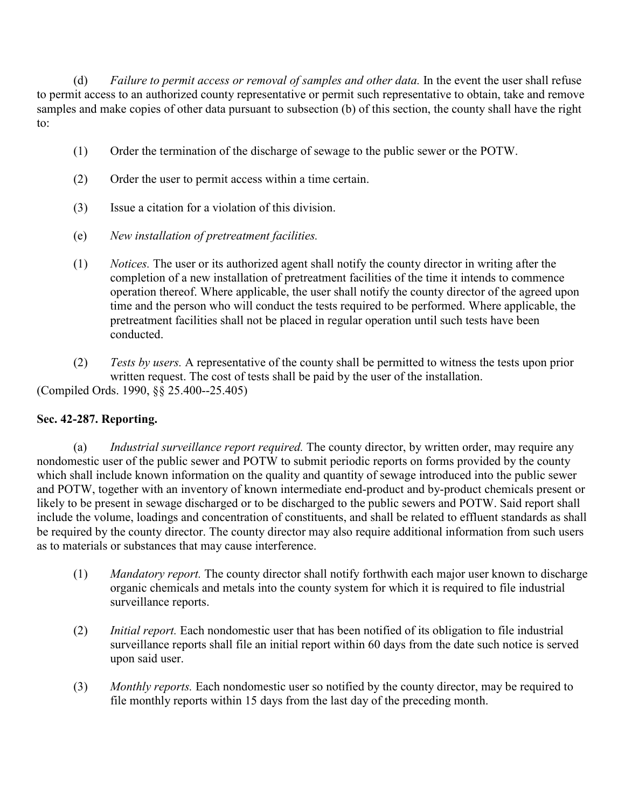(d) *Failure to permit access or removal of samples and other data.* In the event the user shall refuse to permit access to an authorized county representative or permit such representative to obtain, take and remove samples and make copies of other data pursuant to subsection (b) of this section, the county shall have the right to:

- (1) Order the termination of the discharge of sewage to the public sewer or the POTW.
- (2) Order the user to permit access within a time certain.
- (3) Issue a citation for a violation of this division.
- (e) *New installation of pretreatment facilities.*
- (1) *Notices.* The user or its authorized agent shall notify the county director in writing after the completion of a new installation of pretreatment facilities of the time it intends to commence operation thereof. Where applicable, the user shall notify the county director of the agreed upon time and the person who will conduct the tests required to be performed. Where applicable, the pretreatment facilities shall not be placed in regular operation until such tests have been conducted.
- (2) *Tests by users.* A representative of the county shall be permitted to witness the tests upon prior written request. The cost of tests shall be paid by the user of the installation. (Compiled Ords. 1990, §§ 25.400--25.405)

# **Sec. 42-287. Reporting.**

 (a) *Industrial surveillance report required.* The county director, by written order, may require any nondomestic user of the public sewer and POTW to submit periodic reports on forms provided by the county which shall include known information on the quality and quantity of sewage introduced into the public sewer and POTW, together with an inventory of known intermediate end-product and by-product chemicals present or likely to be present in sewage discharged or to be discharged to the public sewers and POTW. Said report shall include the volume, loadings and concentration of constituents, and shall be related to effluent standards as shall be required by the county director. The county director may also require additional information from such users as to materials or substances that may cause interference.

- (1) *Mandatory report.* The county director shall notify forthwith each major user known to discharge organic chemicals and metals into the county system for which it is required to file industrial surveillance reports.
- (2) *Initial report.* Each nondomestic user that has been notified of its obligation to file industrial surveillance reports shall file an initial report within 60 days from the date such notice is served upon said user.
- (3) *Monthly reports.* Each nondomestic user so notified by the county director, may be required to file monthly reports within 15 days from the last day of the preceding month.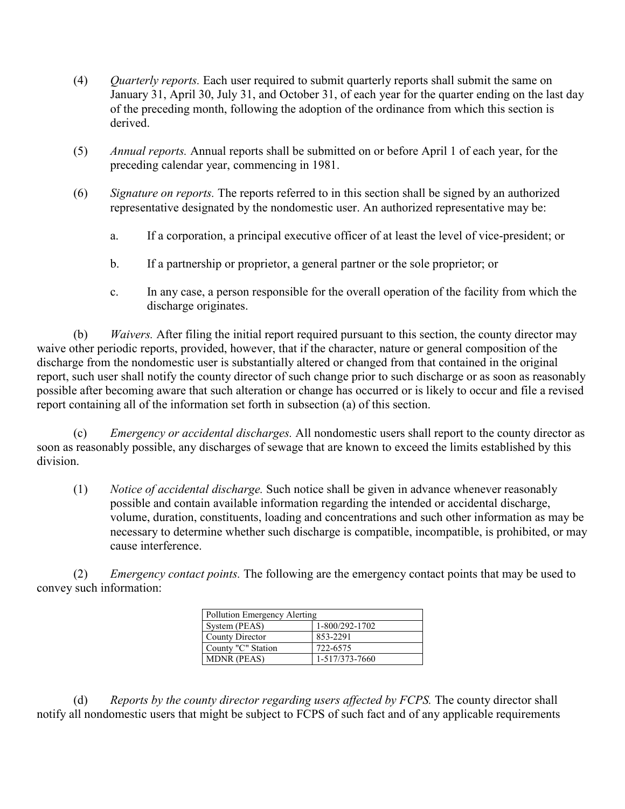- (4) *Quarterly reports.* Each user required to submit quarterly reports shall submit the same on January 31, April 30, July 31, and October 31, of each year for the quarter ending on the last day of the preceding month, following the adoption of the ordinance from which this section is derived.
- (5) *Annual reports.* Annual reports shall be submitted on or before April 1 of each year, for the preceding calendar year, commencing in 1981.
- (6) *Signature on reports.* The reports referred to in this section shall be signed by an authorized representative designated by the nondomestic user. An authorized representative may be:
	- a. If a corporation, a principal executive officer of at least the level of vice-president; or
	- b. If a partnership or proprietor, a general partner or the sole proprietor; or
	- c. In any case, a person responsible for the overall operation of the facility from which the discharge originates.

 (b) *Waivers.* After filing the initial report required pursuant to this section, the county director may waive other periodic reports, provided, however, that if the character, nature or general composition of the discharge from the nondomestic user is substantially altered or changed from that contained in the original report, such user shall notify the county director of such change prior to such discharge or as soon as reasonably possible after becoming aware that such alteration or change has occurred or is likely to occur and file a revised report containing all of the information set forth in subsection (a) of this section.

 (c) *Emergency or accidental discharges.* All nondomestic users shall report to the county director as soon as reasonably possible, any discharges of sewage that are known to exceed the limits established by this division.

 (1) *Notice of accidental discharge.* Such notice shall be given in advance whenever reasonably possible and contain available information regarding the intended or accidental discharge, volume, duration, constituents, loading and concentrations and such other information as may be necessary to determine whether such discharge is compatible, incompatible, is prohibited, or may cause interference.

 (2) *Emergency contact points.* The following are the emergency contact points that may be used to convey such information:

| Pollution Emergency Alerting |                |  |
|------------------------------|----------------|--|
| System (PEAS)                | 1-800/292-1702 |  |
| County Director              | 853-2291       |  |
| County "C" Station           | 722-6575       |  |
| <b>MDNR</b> (PEAS)           | 1-517/373-7660 |  |

 (d) *Reports by the county director regarding users affected by FCPS.* The county director shall notify all nondomestic users that might be subject to FCPS of such fact and of any applicable requirements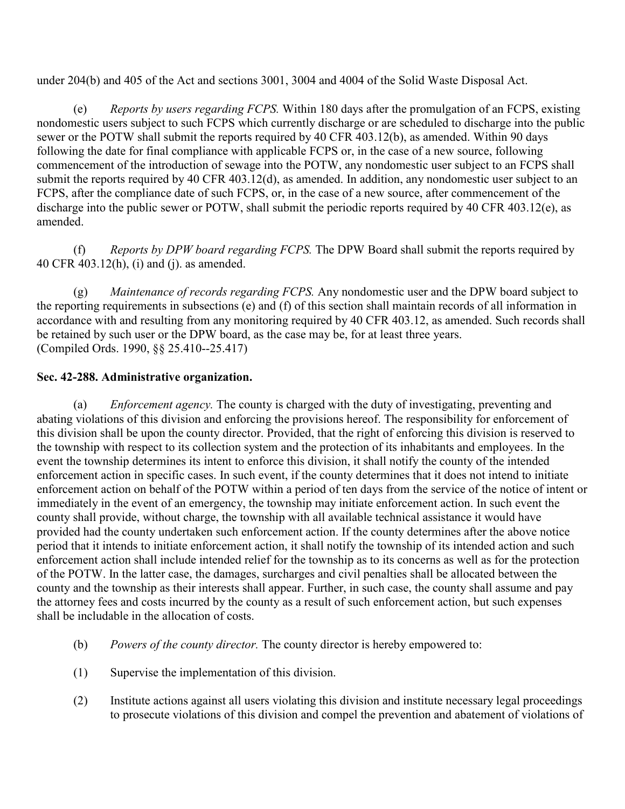under 204(b) and 405 of the Act and sections 3001, 3004 and 4004 of the Solid Waste Disposal Act.

 (e) *Reports by users regarding FCPS.* Within 180 days after the promulgation of an FCPS, existing nondomestic users subject to such FCPS which currently discharge or are scheduled to discharge into the public sewer or the POTW shall submit the reports required by 40 CFR 403.12(b), as amended. Within 90 days following the date for final compliance with applicable FCPS or, in the case of a new source, following commencement of the introduction of sewage into the POTW, any nondomestic user subject to an FCPS shall submit the reports required by 40 CFR 403.12(d), as amended. In addition, any nondomestic user subject to an FCPS, after the compliance date of such FCPS, or, in the case of a new source, after commencement of the discharge into the public sewer or POTW, shall submit the periodic reports required by 40 CFR 403.12(e), as amended.

 (f) *Reports by DPW board regarding FCPS.* The DPW Board shall submit the reports required by 40 CFR 403.12(h), (i) and (j). as amended.

 (g) *Maintenance of records regarding FCPS.* Any nondomestic user and the DPW board subject to the reporting requirements in subsections (e) and (f) of this section shall maintain records of all information in accordance with and resulting from any monitoring required by 40 CFR 403.12, as amended. Such records shall be retained by such user or the DPW board, as the case may be, for at least three years. (Compiled Ords. 1990, §§ 25.410--25.417)

# **Sec. 42-288. Administrative organization.**

 (a) *Enforcement agency.* The county is charged with the duty of investigating, preventing and abating violations of this division and enforcing the provisions hereof. The responsibility for enforcement of this division shall be upon the county director. Provided, that the right of enforcing this division is reserved to the township with respect to its collection system and the protection of its inhabitants and employees. In the event the township determines its intent to enforce this division, it shall notify the county of the intended enforcement action in specific cases. In such event, if the county determines that it does not intend to initiate enforcement action on behalf of the POTW within a period of ten days from the service of the notice of intent or immediately in the event of an emergency, the township may initiate enforcement action. In such event the county shall provide, without charge, the township with all available technical assistance it would have provided had the county undertaken such enforcement action. If the county determines after the above notice period that it intends to initiate enforcement action, it shall notify the township of its intended action and such enforcement action shall include intended relief for the township as to its concerns as well as for the protection of the POTW. In the latter case, the damages, surcharges and civil penalties shall be allocated between the county and the township as their interests shall appear. Further, in such case, the county shall assume and pay the attorney fees and costs incurred by the county as a result of such enforcement action, but such expenses shall be includable in the allocation of costs.

- (b) *Powers of the county director.* The county director is hereby empowered to:
- (1) Supervise the implementation of this division.
- (2) Institute actions against all users violating this division and institute necessary legal proceedings to prosecute violations of this division and compel the prevention and abatement of violations of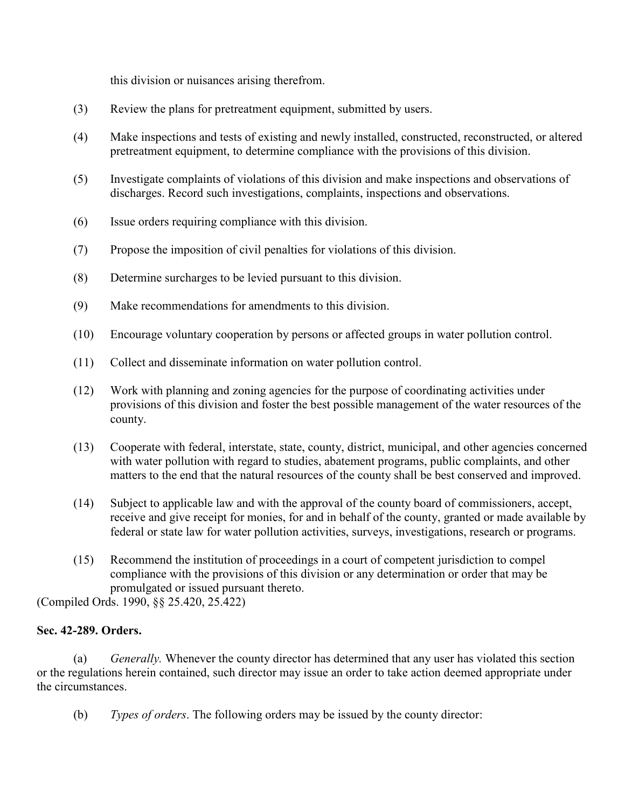this division or nuisances arising therefrom.

- (3) Review the plans for pretreatment equipment, submitted by users.
- (4) Make inspections and tests of existing and newly installed, constructed, reconstructed, or altered pretreatment equipment, to determine compliance with the provisions of this division.
- (5) Investigate complaints of violations of this division and make inspections and observations of discharges. Record such investigations, complaints, inspections and observations.
- (6) Issue orders requiring compliance with this division.
- (7) Propose the imposition of civil penalties for violations of this division.
- (8) Determine surcharges to be levied pursuant to this division.
- (9) Make recommendations for amendments to this division.
- (10) Encourage voluntary cooperation by persons or affected groups in water pollution control.
- (11) Collect and disseminate information on water pollution control.
- (12) Work with planning and zoning agencies for the purpose of coordinating activities under provisions of this division and foster the best possible management of the water resources of the county.
- (13) Cooperate with federal, interstate, state, county, district, municipal, and other agencies concerned with water pollution with regard to studies, abatement programs, public complaints, and other matters to the end that the natural resources of the county shall be best conserved and improved.
- (14) Subject to applicable law and with the approval of the county board of commissioners, accept, receive and give receipt for monies, for and in behalf of the county, granted or made available by federal or state law for water pollution activities, surveys, investigations, research or programs.
- (15) Recommend the institution of proceedings in a court of competent jurisdiction to compel compliance with the provisions of this division or any determination or order that may be promulgated or issued pursuant thereto.

(Compiled Ords. 1990, §§ 25.420, 25.422)

# **Sec. 42-289. Orders.**

 (a) *Generally.* Whenever the county director has determined that any user has violated this section or the regulations herein contained, such director may issue an order to take action deemed appropriate under the circumstances.

(b) *Types of orders*. The following orders may be issued by the county director: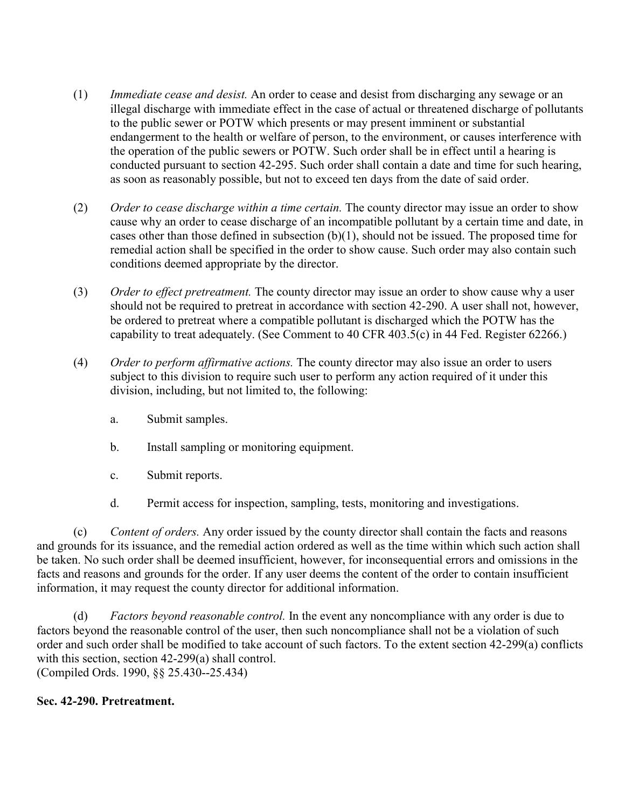- (1) *Immediate cease and desist.* An order to cease and desist from discharging any sewage or an illegal discharge with immediate effect in the case of actual or threatened discharge of pollutants to the public sewer or POTW which presents or may present imminent or substantial endangerment to the health or welfare of person, to the environment, or causes interference with the operation of the public sewers or POTW. Such order shall be in effect until a hearing is conducted pursuant to section 42-295. Such order shall contain a date and time for such hearing, as soon as reasonably possible, but not to exceed ten days from the date of said order.
- (2) *Order to cease discharge within a time certain.* The county director may issue an order to show cause why an order to cease discharge of an incompatible pollutant by a certain time and date, in cases other than those defined in subsection  $(b)(1)$ , should not be issued. The proposed time for remedial action shall be specified in the order to show cause. Such order may also contain such conditions deemed appropriate by the director.
- (3) *Order to effect pretreatment.* The county director may issue an order to show cause why a user should not be required to pretreat in accordance with section 42-290. A user shall not, however, be ordered to pretreat where a compatible pollutant is discharged which the POTW has the capability to treat adequately. (See Comment to 40 CFR 403.5(c) in 44 Fed. Register 62266.)
- (4) *Order to perform affirmative actions.* The county director may also issue an order to users subject to this division to require such user to perform any action required of it under this division, including, but not limited to, the following:
	- a. Submit samples.
	- b. Install sampling or monitoring equipment.
	- c. Submit reports.
	- d. Permit access for inspection, sampling, tests, monitoring and investigations.

 (c) *Content of orders.* Any order issued by the county director shall contain the facts and reasons and grounds for its issuance, and the remedial action ordered as well as the time within which such action shall be taken. No such order shall be deemed insufficient, however, for inconsequential errors and omissions in the facts and reasons and grounds for the order. If any user deems the content of the order to contain insufficient information, it may request the county director for additional information.

 (d) *Factors beyond reasonable control.* In the event any noncompliance with any order is due to factors beyond the reasonable control of the user, then such noncompliance shall not be a violation of such order and such order shall be modified to take account of such factors. To the extent section 42-299(a) conflicts with this section, section 42-299(a) shall control. (Compiled Ords. 1990, §§ 25.430--25.434)

# **Sec. 42-290. Pretreatment.**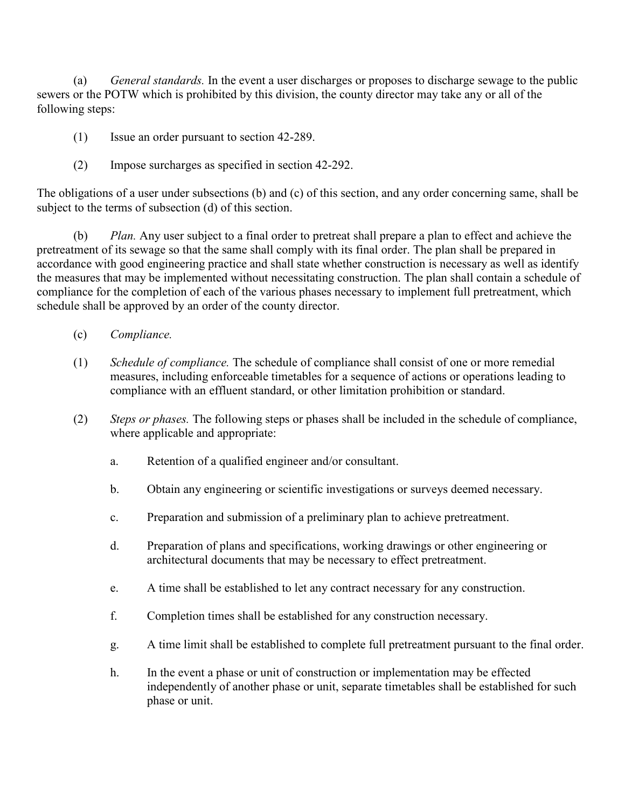(a) *General standards.* In the event a user discharges or proposes to discharge sewage to the public sewers or the POTW which is prohibited by this division, the county director may take any or all of the following steps:

- (1) Issue an order pursuant to section 42-289.
- (2) Impose surcharges as specified in section 42-292.

The obligations of a user under subsections (b) and (c) of this section, and any order concerning same, shall be subject to the terms of subsection (d) of this section.

 (b) *Plan.* Any user subject to a final order to pretreat shall prepare a plan to effect and achieve the pretreatment of its sewage so that the same shall comply with its final order. The plan shall be prepared in accordance with good engineering practice and shall state whether construction is necessary as well as identify the measures that may be implemented without necessitating construction. The plan shall contain a schedule of compliance for the completion of each of the various phases necessary to implement full pretreatment, which schedule shall be approved by an order of the county director.

- (c) *Compliance.*
- (1) *Schedule of compliance.* The schedule of compliance shall consist of one or more remedial measures, including enforceable timetables for a sequence of actions or operations leading to compliance with an effluent standard, or other limitation prohibition or standard.
- (2) *Steps or phases.* The following steps or phases shall be included in the schedule of compliance, where applicable and appropriate:
	- a. Retention of a qualified engineer and/or consultant.
	- b. Obtain any engineering or scientific investigations or surveys deemed necessary.
	- c. Preparation and submission of a preliminary plan to achieve pretreatment.
	- d. Preparation of plans and specifications, working drawings or other engineering or architectural documents that may be necessary to effect pretreatment.
	- e. A time shall be established to let any contract necessary for any construction.
	- f. Completion times shall be established for any construction necessary.
	- g. A time limit shall be established to complete full pretreatment pursuant to the final order.
	- h. In the event a phase or unit of construction or implementation may be effected independently of another phase or unit, separate timetables shall be established for such phase or unit.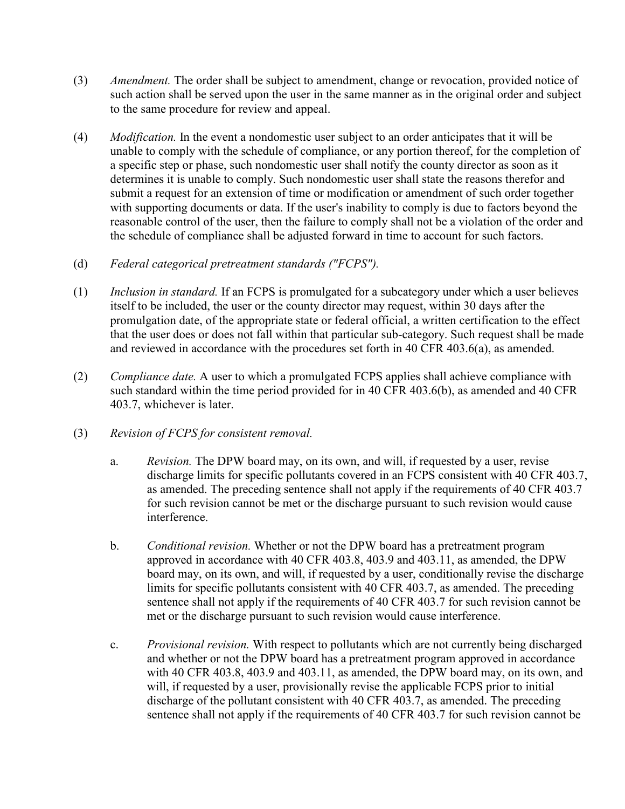- (3) *Amendment.* The order shall be subject to amendment, change or revocation, provided notice of such action shall be served upon the user in the same manner as in the original order and subject to the same procedure for review and appeal.
- (4) *Modification.* In the event a nondomestic user subject to an order anticipates that it will be unable to comply with the schedule of compliance, or any portion thereof, for the completion of a specific step or phase, such nondomestic user shall notify the county director as soon as it determines it is unable to comply. Such nondomestic user shall state the reasons therefor and submit a request for an extension of time or modification or amendment of such order together with supporting documents or data. If the user's inability to comply is due to factors beyond the reasonable control of the user, then the failure to comply shall not be a violation of the order and the schedule of compliance shall be adjusted forward in time to account for such factors.
- (d) *Federal categorical pretreatment standards ("FCPS").*
- (1) *Inclusion in standard.* If an FCPS is promulgated for a subcategory under which a user believes itself to be included, the user or the county director may request, within 30 days after the promulgation date, of the appropriate state or federal official, a written certification to the effect that the user does or does not fall within that particular sub-category. Such request shall be made and reviewed in accordance with the procedures set forth in 40 CFR 403.6(a), as amended.
- (2) *Compliance date.* A user to which a promulgated FCPS applies shall achieve compliance with such standard within the time period provided for in 40 CFR 403.6(b), as amended and 40 CFR 403.7, whichever is later.
- (3) *Revision of FCPS for consistent removal.*
	- a. *Revision.* The DPW board may, on its own, and will, if requested by a user, revise discharge limits for specific pollutants covered in an FCPS consistent with 40 CFR 403.7, as amended. The preceding sentence shall not apply if the requirements of 40 CFR 403.7 for such revision cannot be met or the discharge pursuant to such revision would cause interference.
	- b. *Conditional revision.* Whether or not the DPW board has a pretreatment program approved in accordance with 40 CFR 403.8, 403.9 and 403.11, as amended, the DPW board may, on its own, and will, if requested by a user, conditionally revise the discharge limits for specific pollutants consistent with 40 CFR 403.7, as amended. The preceding sentence shall not apply if the requirements of 40 CFR 403.7 for such revision cannot be met or the discharge pursuant to such revision would cause interference.
	- c. *Provisional revision.* With respect to pollutants which are not currently being discharged and whether or not the DPW board has a pretreatment program approved in accordance with 40 CFR 403.8, 403.9 and 403.11, as amended, the DPW board may, on its own, and will, if requested by a user, provisionally revise the applicable FCPS prior to initial discharge of the pollutant consistent with 40 CFR 403.7, as amended. The preceding sentence shall not apply if the requirements of 40 CFR 403.7 for such revision cannot be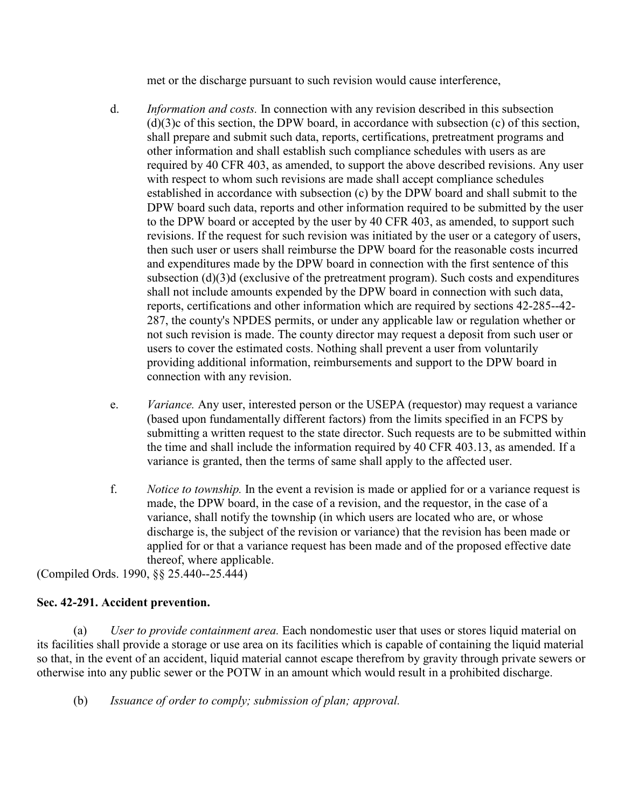met or the discharge pursuant to such revision would cause interference,

- d. *Information and costs.* In connection with any revision described in this subsection (d)(3)c of this section, the DPW board, in accordance with subsection (c) of this section, shall prepare and submit such data, reports, certifications, pretreatment programs and other information and shall establish such compliance schedules with users as are required by 40 CFR 403, as amended, to support the above described revisions. Any user with respect to whom such revisions are made shall accept compliance schedules established in accordance with subsection (c) by the DPW board and shall submit to the DPW board such data, reports and other information required to be submitted by the user to the DPW board or accepted by the user by 40 CFR 403, as amended, to support such revisions. If the request for such revision was initiated by the user or a category of users, then such user or users shall reimburse the DPW board for the reasonable costs incurred and expenditures made by the DPW board in connection with the first sentence of this subsection (d)(3)d (exclusive of the pretreatment program). Such costs and expenditures shall not include amounts expended by the DPW board in connection with such data, reports, certifications and other information which are required by sections 42-285--42- 287, the county's NPDES permits, or under any applicable law or regulation whether or not such revision is made. The county director may request a deposit from such user or users to cover the estimated costs. Nothing shall prevent a user from voluntarily providing additional information, reimbursements and support to the DPW board in connection with any revision.
- e. *Variance.* Any user, interested person or the USEPA (requestor) may request a variance (based upon fundamentally different factors) from the limits specified in an FCPS by submitting a written request to the state director. Such requests are to be submitted within the time and shall include the information required by 40 CFR 403.13, as amended. If a variance is granted, then the terms of same shall apply to the affected user.
- f. *Notice to township.* In the event a revision is made or applied for or a variance request is made, the DPW board, in the case of a revision, and the requestor, in the case of a variance, shall notify the township (in which users are located who are, or whose discharge is, the subject of the revision or variance) that the revision has been made or applied for or that a variance request has been made and of the proposed effective date thereof, where applicable.

(Compiled Ords. 1990, §§ 25.440--25.444)

# **Sec. 42-291. Accident prevention.**

 (a) *User to provide containment area.* Each nondomestic user that uses or stores liquid material on its facilities shall provide a storage or use area on its facilities which is capable of containing the liquid material so that, in the event of an accident, liquid material cannot escape therefrom by gravity through private sewers or otherwise into any public sewer or the POTW in an amount which would result in a prohibited discharge.

(b) *Issuance of order to comply; submission of plan; approval.*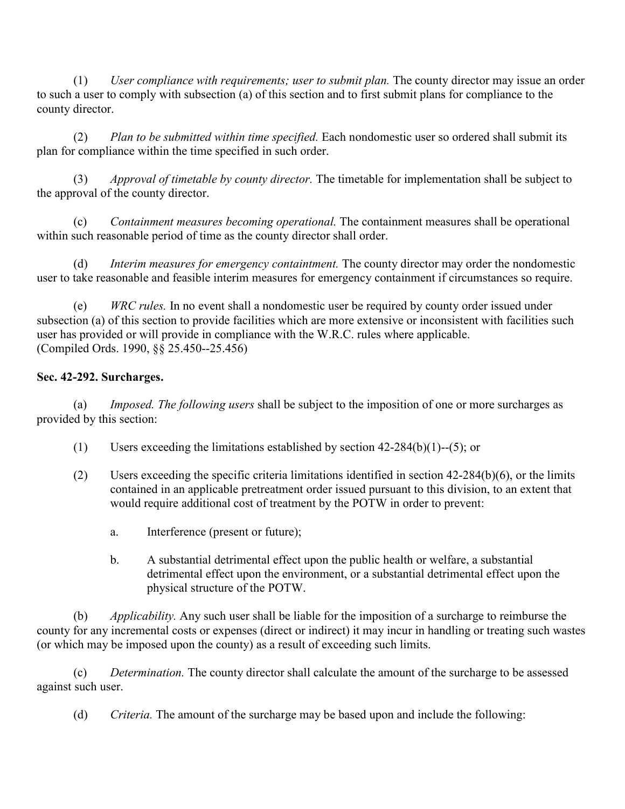(1) *User compliance with requirements; user to submit plan.* The county director may issue an order to such a user to comply with subsection (a) of this section and to first submit plans for compliance to the county director.

 (2) *Plan to be submitted within time specified.* Each nondomestic user so ordered shall submit its plan for compliance within the time specified in such order.

 (3) *Approval of timetable by county director.* The timetable for implementation shall be subject to the approval of the county director.

 (c) *Containment measures becoming operational.* The containment measures shall be operational within such reasonable period of time as the county director shall order.

 (d) *Interim measures for emergency containtment.* The county director may order the nondomestic user to take reasonable and feasible interim measures for emergency containment if circumstances so require.

 (e) *WRC rules.* In no event shall a nondomestic user be required by county order issued under subsection (a) of this section to provide facilities which are more extensive or inconsistent with facilities such user has provided or will provide in compliance with the W.R.C. rules where applicable. (Compiled Ords. 1990, §§ 25.450--25.456)

# **Sec. 42-292. Surcharges.**

 (a) *Imposed. The following users* shall be subject to the imposition of one or more surcharges as provided by this section:

- (1) Users exceeding the limitations established by section 42-284(b)(1)--(5); or
- (2) Users exceeding the specific criteria limitations identified in section  $42-284(b)(6)$ , or the limits contained in an applicable pretreatment order issued pursuant to this division, to an extent that would require additional cost of treatment by the POTW in order to prevent:
	- a. Interference (present or future);
	- b. A substantial detrimental effect upon the public health or welfare, a substantial detrimental effect upon the environment, or a substantial detrimental effect upon the physical structure of the POTW.

 (b) *Applicability.* Any such user shall be liable for the imposition of a surcharge to reimburse the county for any incremental costs or expenses (direct or indirect) it may incur in handling or treating such wastes (or which may be imposed upon the county) as a result of exceeding such limits.

 (c) *Determination.* The county director shall calculate the amount of the surcharge to be assessed against such user.

(d) *Criteria.* The amount of the surcharge may be based upon and include the following: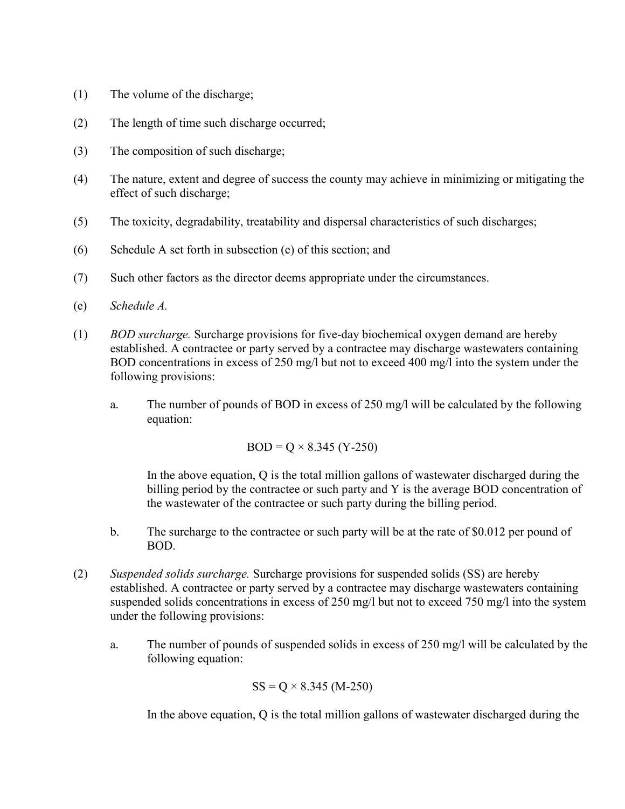- (1) The volume of the discharge;
- (2) The length of time such discharge occurred;
- (3) The composition of such discharge;
- (4) The nature, extent and degree of success the county may achieve in minimizing or mitigating the effect of such discharge;
- (5) The toxicity, degradability, treatability and dispersal characteristics of such discharges;
- (6) Schedule A set forth in subsection (e) of this section; and
- (7) Such other factors as the director deems appropriate under the circumstances.
- (e) *Schedule A.*
- (1) *BOD surcharge.* Surcharge provisions for five-day biochemical oxygen demand are hereby established. A contractee or party served by a contractee may discharge wastewaters containing BOD concentrations in excess of 250 mg/l but not to exceed 400 mg/l into the system under the following provisions:
	- a. The number of pounds of BOD in excess of 250 mg/l will be calculated by the following equation:

 $BOD = Q \times 8.345$  (Y-250)

In the above equation, Q is the total million gallons of wastewater discharged during the billing period by the contractee or such party and Y is the average BOD concentration of the wastewater of the contractee or such party during the billing period.

- b. The surcharge to the contractee or such party will be at the rate of \$0.012 per pound of BOD.
- (2) *Suspended solids surcharge.* Surcharge provisions for suspended solids (SS) are hereby established. A contractee or party served by a contractee may discharge wastewaters containing suspended solids concentrations in excess of 250 mg/l but not to exceed 750 mg/l into the system under the following provisions:
	- a. The number of pounds of suspended solids in excess of 250 mg/l will be calculated by the following equation:

$$
SS = Q \times 8.345 \ (M-250)
$$

In the above equation, Q is the total million gallons of wastewater discharged during the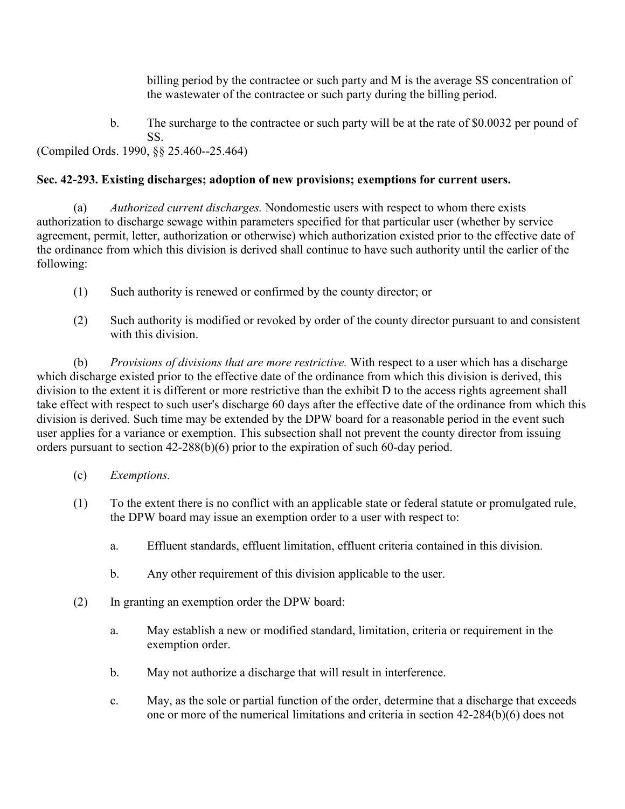billing period by the contractee or such party and M is the average SS concentration of the wastewater of the contractee or such party during the billing period.

 b. The surcharge to the contractee or such party will be at the rate of \$0.0032 per pound of SS.

(Compiled Ords. 1990, §§ 25.460--25.464)

# **Sec. 42-293. Existing discharges; adoption of new provisions; exemptions for current users.**

 (a) *Authorized current discharges.* Nondomestic users with respect to whom there exists authorization to discharge sewage within parameters specified for that particular user (whether by service agreement, permit, letter, authorization or otherwise) which authorization existed prior to the effective date of the ordinance from which this division is derived shall continue to have such authority until the earlier of the following:

- (1) Such authority is renewed or confirmed by the county director; or
- (2) Such authority is modified or revoked by order of the county director pursuant to and consistent with this division.

 (b) *Provisions of divisions that are more restrictive.* With respect to a user which has a discharge which discharge existed prior to the effective date of the ordinance from which this division is derived, this division to the extent it is different or more restrictive than the exhibit D to the access rights agreement shall take effect with respect to such user's discharge 60 days after the effective date of the ordinance from which this division is derived. Such time may be extended by the DPW board for a reasonable period in the event such user applies for a variance or exemption. This subsection shall not prevent the county director from issuing orders pursuant to section 42-288(b)(6) prior to the expiration of such 60-day period.

- (c) *Exemptions.*
- (1) To the extent there is no conflict with an applicable state or federal statute or promulgated rule, the DPW board may issue an exemption order to a user with respect to:
	- a. Effluent standards, effluent limitation, effluent criteria contained in this division.
	- b. Any other requirement of this division applicable to the user.
- (2) In granting an exemption order the DPW board:
	- a. May establish a new or modified standard, limitation, criteria or requirement in the exemption order.
	- b. May not authorize a discharge that will result in interference.
	- c. May, as the sole or partial function of the order, determine that a discharge that exceeds one or more of the numerical limitations and criteria in section 42-284(b)(6) does not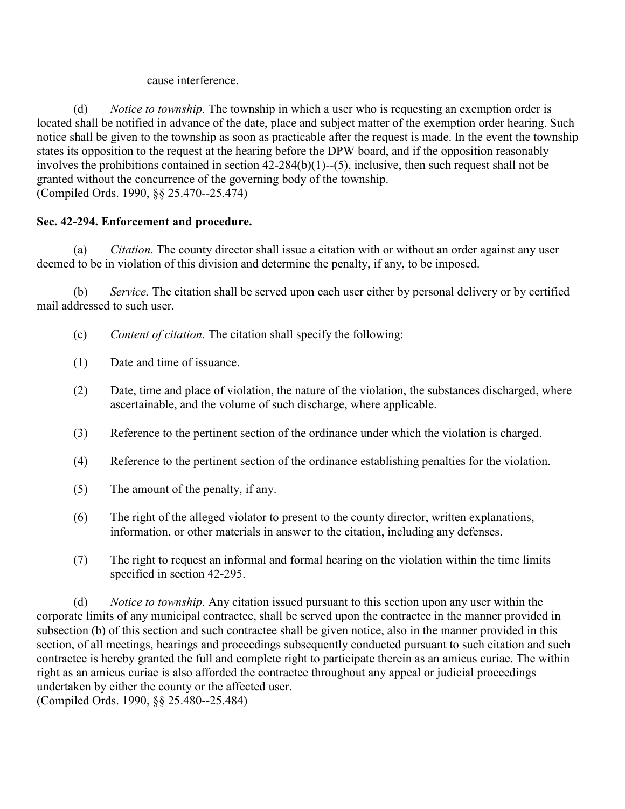cause interference.

 (d) *Notice to township.* The township in which a user who is requesting an exemption order is located shall be notified in advance of the date, place and subject matter of the exemption order hearing. Such notice shall be given to the township as soon as practicable after the request is made. In the event the township states its opposition to the request at the hearing before the DPW board, and if the opposition reasonably involves the prohibitions contained in section 42-284(b)(1)--(5), inclusive, then such request shall not be granted without the concurrence of the governing body of the township. (Compiled Ords. 1990, §§ 25.470--25.474)

# **Sec. 42-294. Enforcement and procedure.**

 (a) *Citation.* The county director shall issue a citation with or without an order against any user deemed to be in violation of this division and determine the penalty, if any, to be imposed.

 (b) *Service.* The citation shall be served upon each user either by personal delivery or by certified mail addressed to such user.

- (c) *Content of citation.* The citation shall specify the following:
- (1) Date and time of issuance.
- (2) Date, time and place of violation, the nature of the violation, the substances discharged, where ascertainable, and the volume of such discharge, where applicable.
- (3) Reference to the pertinent section of the ordinance under which the violation is charged.
- (4) Reference to the pertinent section of the ordinance establishing penalties for the violation.
- (5) The amount of the penalty, if any.
- (6) The right of the alleged violator to present to the county director, written explanations, information, or other materials in answer to the citation, including any defenses.
- (7) The right to request an informal and formal hearing on the violation within the time limits specified in section 42-295.

 (d) *Notice to township.* Any citation issued pursuant to this section upon any user within the corporate limits of any municipal contractee, shall be served upon the contractee in the manner provided in subsection (b) of this section and such contractee shall be given notice, also in the manner provided in this section, of all meetings, hearings and proceedings subsequently conducted pursuant to such citation and such contractee is hereby granted the full and complete right to participate therein as an amicus curiae. The within right as an amicus curiae is also afforded the contractee throughout any appeal or judicial proceedings undertaken by either the county or the affected user.

(Compiled Ords. 1990, §§ 25.480--25.484)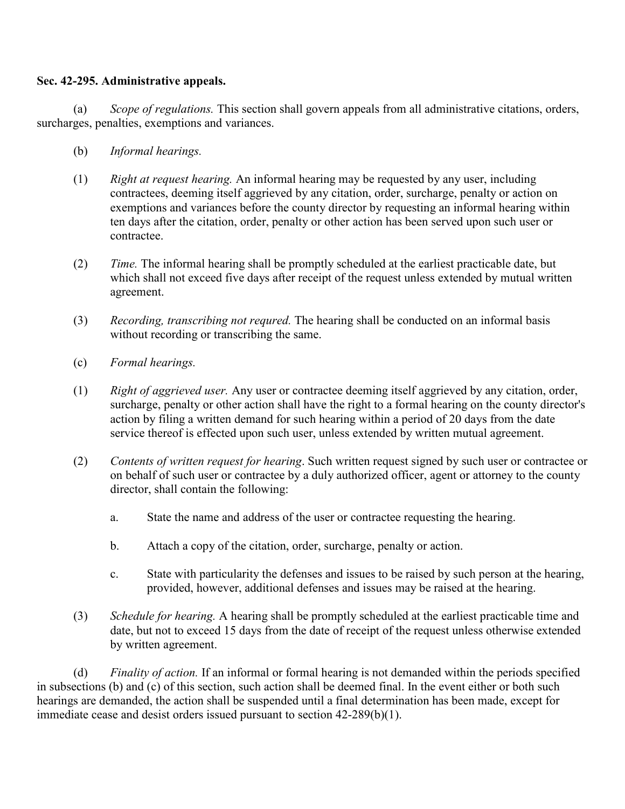## **Sec. 42-295. Administrative appeals.**

 (a) *Scope of regulations.* This section shall govern appeals from all administrative citations, orders, surcharges, penalties, exemptions and variances.

- (b) *Informal hearings.*
- (1) *Right at request hearing.* An informal hearing may be requested by any user, including contractees, deeming itself aggrieved by any citation, order, surcharge, penalty or action on exemptions and variances before the county director by requesting an informal hearing within ten days after the citation, order, penalty or other action has been served upon such user or contractee.
- (2) *Time.* The informal hearing shall be promptly scheduled at the earliest practicable date, but which shall not exceed five days after receipt of the request unless extended by mutual written agreement.
- (3) *Recording, transcribing not requred.* The hearing shall be conducted on an informal basis without recording or transcribing the same.
- (c) *Formal hearings.*
- (1) *Right of aggrieved user.* Any user or contractee deeming itself aggrieved by any citation, order, surcharge, penalty or other action shall have the right to a formal hearing on the county director's action by filing a written demand for such hearing within a period of 20 days from the date service thereof is effected upon such user, unless extended by written mutual agreement.
- (2) *Contents of written request for hearing*. Such written request signed by such user or contractee or on behalf of such user or contractee by a duly authorized officer, agent or attorney to the county director, shall contain the following:
	- a. State the name and address of the user or contractee requesting the hearing.
	- b. Attach a copy of the citation, order, surcharge, penalty or action.
	- c. State with particularity the defenses and issues to be raised by such person at the hearing, provided, however, additional defenses and issues may be raised at the hearing.
- (3) *Schedule for hearing.* A hearing shall be promptly scheduled at the earliest practicable time and date, but not to exceed 15 days from the date of receipt of the request unless otherwise extended by written agreement.

 (d) *Finality of action.* If an informal or formal hearing is not demanded within the periods specified in subsections (b) and (c) of this section, such action shall be deemed final. In the event either or both such hearings are demanded, the action shall be suspended until a final determination has been made, except for immediate cease and desist orders issued pursuant to section 42-289(b)(1).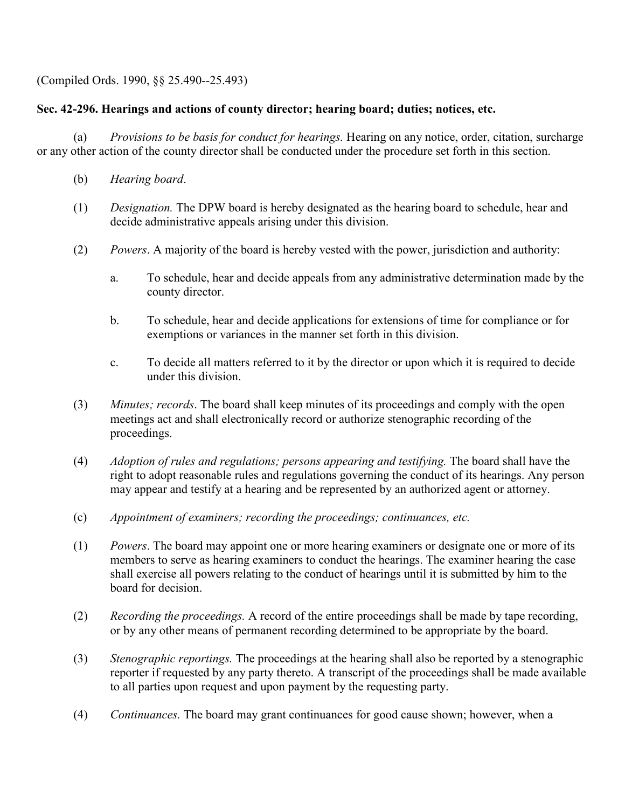(Compiled Ords. 1990, §§ 25.490--25.493)

## **Sec. 42-296. Hearings and actions of county director; hearing board; duties; notices, etc.**

 (a) *Provisions to be basis for conduct for hearings.* Hearing on any notice, order, citation, surcharge or any other action of the county director shall be conducted under the procedure set forth in this section.

- (b) *Hearing board*.
- (1) *Designation.* The DPW board is hereby designated as the hearing board to schedule, hear and decide administrative appeals arising under this division.
- (2) *Powers*. A majority of the board is hereby vested with the power, jurisdiction and authority:
	- a. To schedule, hear and decide appeals from any administrative determination made by the county director.
	- b. To schedule, hear and decide applications for extensions of time for compliance or for exemptions or variances in the manner set forth in this division.
	- c. To decide all matters referred to it by the director or upon which it is required to decide under this division.
- (3) *Minutes; records*. The board shall keep minutes of its proceedings and comply with the open meetings act and shall electronically record or authorize stenographic recording of the proceedings.
- (4) *Adoption of rules and regulations; persons appearing and testifying.* The board shall have the right to adopt reasonable rules and regulations governing the conduct of its hearings. Any person may appear and testify at a hearing and be represented by an authorized agent or attorney.
- (c) *Appointment of examiners; recording the proceedings; continuances, etc.*
- (1) *Powers*. The board may appoint one or more hearing examiners or designate one or more of its members to serve as hearing examiners to conduct the hearings. The examiner hearing the case shall exercise all powers relating to the conduct of hearings until it is submitted by him to the board for decision.
- (2) *Recording the proceedings.* A record of the entire proceedings shall be made by tape recording, or by any other means of permanent recording determined to be appropriate by the board.
- (3) *Stenographic reportings.* The proceedings at the hearing shall also be reported by a stenographic reporter if requested by any party thereto. A transcript of the proceedings shall be made available to all parties upon request and upon payment by the requesting party.
- (4) *Continuances.* The board may grant continuances for good cause shown; however, when a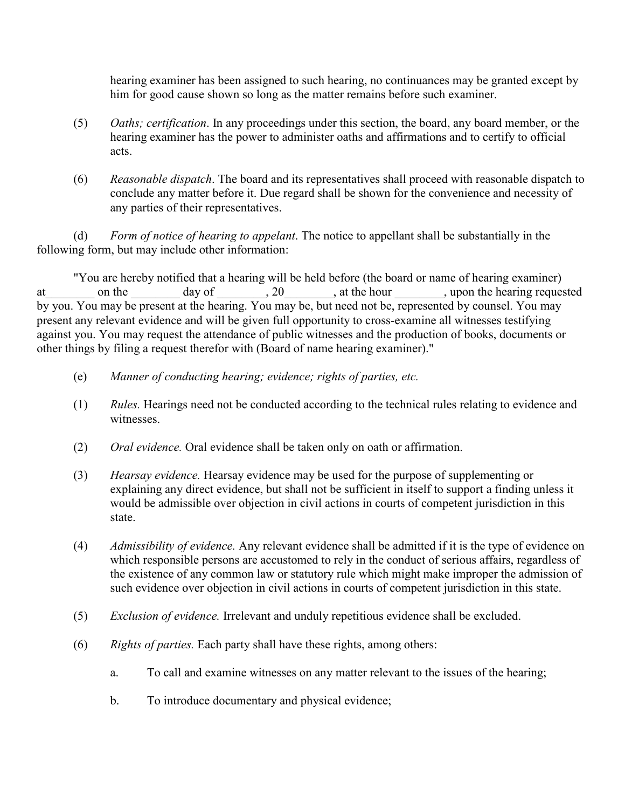hearing examiner has been assigned to such hearing, no continuances may be granted except by him for good cause shown so long as the matter remains before such examiner.

- (5) *Oaths; certification*. In any proceedings under this section, the board, any board member, or the hearing examiner has the power to administer oaths and affirmations and to certify to official acts.
- (6) *Reasonable dispatch*. The board and its representatives shall proceed with reasonable dispatch to conclude any matter before it. Due regard shall be shown for the convenience and necessity of any parties of their representatives.

 (d) *Form of notice of hearing to appelant*. The notice to appellant shall be substantially in the following form, but may include other information:

"You are hereby notified that a hearing will be held before (the board or name of hearing examiner) at on the day of 20 at the hour when hearing requested by you. You may be present at the hearing. You may be, but need not be, represented by counsel. You may present any relevant evidence and will be given full opportunity to cross-examine all witnesses testifying against you. You may request the attendance of public witnesses and the production of books, documents or other things by filing a request therefor with (Board of name hearing examiner)."

- (e) *Manner of conducting hearing; evidence; rights of parties, etc.*
- (1) *Rules.* Hearings need not be conducted according to the technical rules relating to evidence and witnesses.
- (2) *Oral evidence.* Oral evidence shall be taken only on oath or affirmation.
- (3) *Hearsay evidence.* Hearsay evidence may be used for the purpose of supplementing or explaining any direct evidence, but shall not be sufficient in itself to support a finding unless it would be admissible over objection in civil actions in courts of competent jurisdiction in this state.
- (4) *Admissibility of evidence.* Any relevant evidence shall be admitted if it is the type of evidence on which responsible persons are accustomed to rely in the conduct of serious affairs, regardless of the existence of any common law or statutory rule which might make improper the admission of such evidence over objection in civil actions in courts of competent jurisdiction in this state.
- (5) *Exclusion of evidence.* Irrelevant and unduly repetitious evidence shall be excluded.
- (6) *Rights of parties.* Each party shall have these rights, among others:
	- a. To call and examine witnesses on any matter relevant to the issues of the hearing;
	- b. To introduce documentary and physical evidence;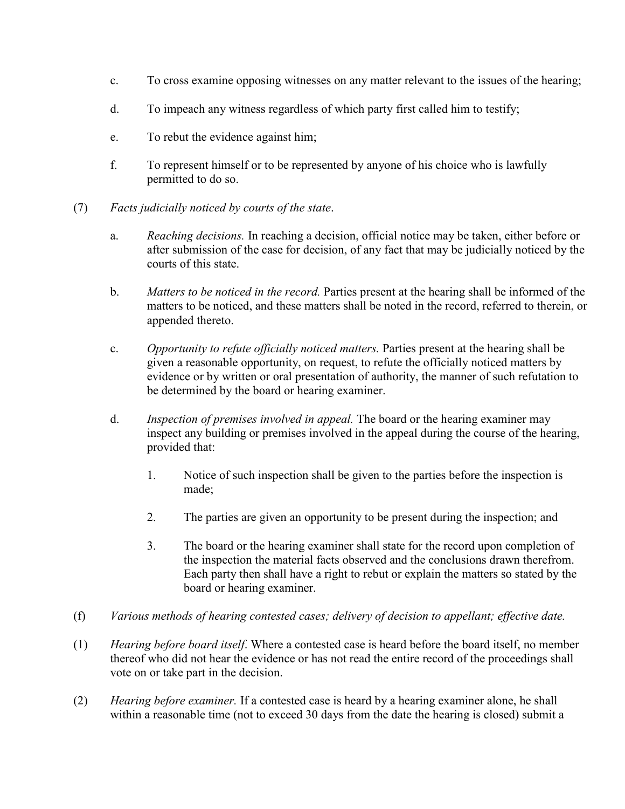- c. To cross examine opposing witnesses on any matter relevant to the issues of the hearing;
- d. To impeach any witness regardless of which party first called him to testify;
- e. To rebut the evidence against him;
- f. To represent himself or to be represented by anyone of his choice who is lawfully permitted to do so.
- (7) *Facts judicially noticed by courts of the state*.
	- a. *Reaching decisions.* In reaching a decision, official notice may be taken, either before or after submission of the case for decision, of any fact that may be judicially noticed by the courts of this state.
	- b. *Matters to be noticed in the record.* Parties present at the hearing shall be informed of the matters to be noticed, and these matters shall be noted in the record, referred to therein, or appended thereto.
	- c. *Opportunity to refute officially noticed matters.* Parties present at the hearing shall be given a reasonable opportunity, on request, to refute the officially noticed matters by evidence or by written or oral presentation of authority, the manner of such refutation to be determined by the board or hearing examiner.
	- d. *Inspection of premises involved in appeal.* The board or the hearing examiner may inspect any building or premises involved in the appeal during the course of the hearing, provided that:
		- 1. Notice of such inspection shall be given to the parties before the inspection is made;
		- 2. The parties are given an opportunity to be present during the inspection; and
		- 3. The board or the hearing examiner shall state for the record upon completion of the inspection the material facts observed and the conclusions drawn therefrom. Each party then shall have a right to rebut or explain the matters so stated by the board or hearing examiner.
- (f) *Various methods of hearing contested cases; delivery of decision to appellant; effective date.*
- (1) *Hearing before board itself*. Where a contested case is heard before the board itself, no member thereof who did not hear the evidence or has not read the entire record of the proceedings shall vote on or take part in the decision.
- (2) *Hearing before examiner.* If a contested case is heard by a hearing examiner alone, he shall within a reasonable time (not to exceed 30 days from the date the hearing is closed) submit a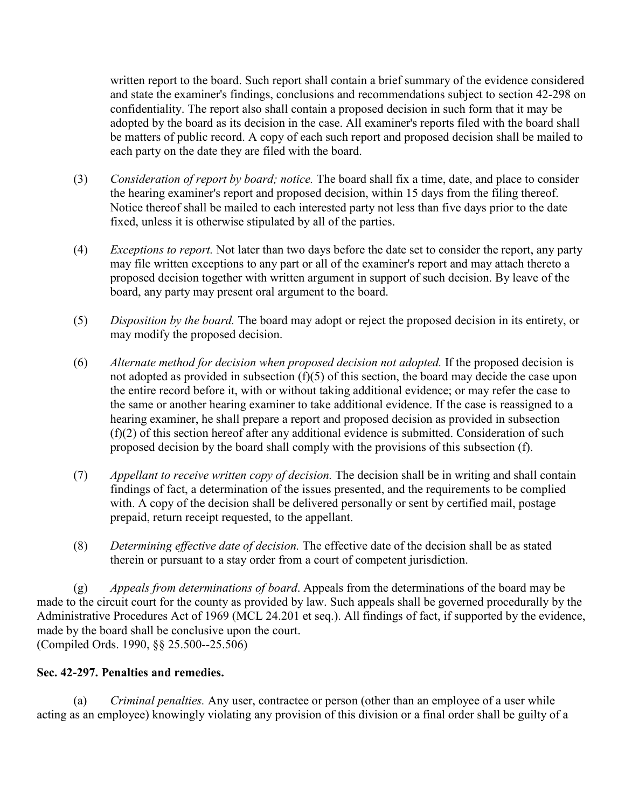written report to the board. Such report shall contain a brief summary of the evidence considered and state the examiner's findings, conclusions and recommendations subject to section 42-298 on confidentiality. The report also shall contain a proposed decision in such form that it may be adopted by the board as its decision in the case. All examiner's reports filed with the board shall be matters of public record. A copy of each such report and proposed decision shall be mailed to each party on the date they are filed with the board.

- (3) *Consideration of report by board; notice.* The board shall fix a time, date, and place to consider the hearing examiner's report and proposed decision, within 15 days from the filing thereof. Notice thereof shall be mailed to each interested party not less than five days prior to the date fixed, unless it is otherwise stipulated by all of the parties.
- (4) *Exceptions to report.* Not later than two days before the date set to consider the report, any party may file written exceptions to any part or all of the examiner's report and may attach thereto a proposed decision together with written argument in support of such decision. By leave of the board, any party may present oral argument to the board.
- (5) *Disposition by the board.* The board may adopt or reject the proposed decision in its entirety, or may modify the proposed decision.
- (6) *Alternate method for decision when proposed decision not adopted.* If the proposed decision is not adopted as provided in subsection (f)(5) of this section, the board may decide the case upon the entire record before it, with or without taking additional evidence; or may refer the case to the same or another hearing examiner to take additional evidence. If the case is reassigned to a hearing examiner, he shall prepare a report and proposed decision as provided in subsection (f)(2) of this section hereof after any additional evidence is submitted. Consideration of such proposed decision by the board shall comply with the provisions of this subsection (f).
- (7) *Appellant to receive written copy of decision.* The decision shall be in writing and shall contain findings of fact, a determination of the issues presented, and the requirements to be complied with. A copy of the decision shall be delivered personally or sent by certified mail, postage prepaid, return receipt requested, to the appellant.
- (8) *Determining effective date of decision.* The effective date of the decision shall be as stated therein or pursuant to a stay order from a court of competent jurisdiction.

 (g) *Appeals from determinations of board*. Appeals from the determinations of the board may be made to the circuit court for the county as provided by law. Such appeals shall be governed procedurally by the Administrative Procedures Act of 1969 (MCL 24.201 et seq.). All findings of fact, if supported by the evidence, made by the board shall be conclusive upon the court. (Compiled Ords. 1990, §§ 25.500--25.506)

# **Sec. 42-297. Penalties and remedies.**

 (a) *Criminal penalties.* Any user, contractee or person (other than an employee of a user while acting as an employee) knowingly violating any provision of this division or a final order shall be guilty of a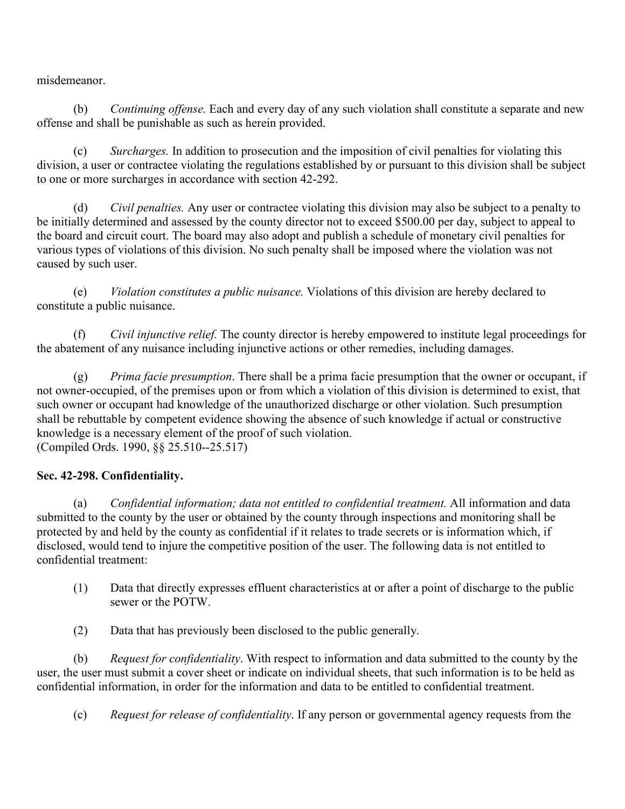misdemeanor.

 (b) *Continuing offense.* Each and every day of any such violation shall constitute a separate and new offense and shall be punishable as such as herein provided.

 (c) *Surcharges.* In addition to prosecution and the imposition of civil penalties for violating this division, a user or contractee violating the regulations established by or pursuant to this division shall be subject to one or more surcharges in accordance with section 42-292.

 (d) *Civil penalties.* Any user or contractee violating this division may also be subject to a penalty to be initially determined and assessed by the county director not to exceed \$500.00 per day, subject to appeal to the board and circuit court. The board may also adopt and publish a schedule of monetary civil penalties for various types of violations of this division. No such penalty shall be imposed where the violation was not caused by such user.

 (e) *Violation constitutes a public nuisance.* Violations of this division are hereby declared to constitute a public nuisance.

 (f) *Civil injunctive relief.* The county director is hereby empowered to institute legal proceedings for the abatement of any nuisance including injunctive actions or other remedies, including damages.

 (g) *Prima facie presumption*. There shall be a prima facie presumption that the owner or occupant, if not owner-occupied, of the premises upon or from which a violation of this division is determined to exist, that such owner or occupant had knowledge of the unauthorized discharge or other violation. Such presumption shall be rebuttable by competent evidence showing the absence of such knowledge if actual or constructive knowledge is a necessary element of the proof of such violation. (Compiled Ords. 1990, §§ 25.510--25.517)

# **Sec. 42-298. Confidentiality.**

 (a) *Confidential information; data not entitled to confidential treatment.* All information and data submitted to the county by the user or obtained by the county through inspections and monitoring shall be protected by and held by the county as confidential if it relates to trade secrets or is information which, if disclosed, would tend to injure the competitive position of the user. The following data is not entitled to confidential treatment:

- (1) Data that directly expresses effluent characteristics at or after a point of discharge to the public sewer or the POTW.
- (2) Data that has previously been disclosed to the public generally.

 (b) *Request for confidentiality*. With respect to information and data submitted to the county by the user, the user must submit a cover sheet or indicate on individual sheets, that such information is to be held as confidential information, in order for the information and data to be entitled to confidential treatment.

(c) *Request for release of confidentiality*. If any person or governmental agency requests from the